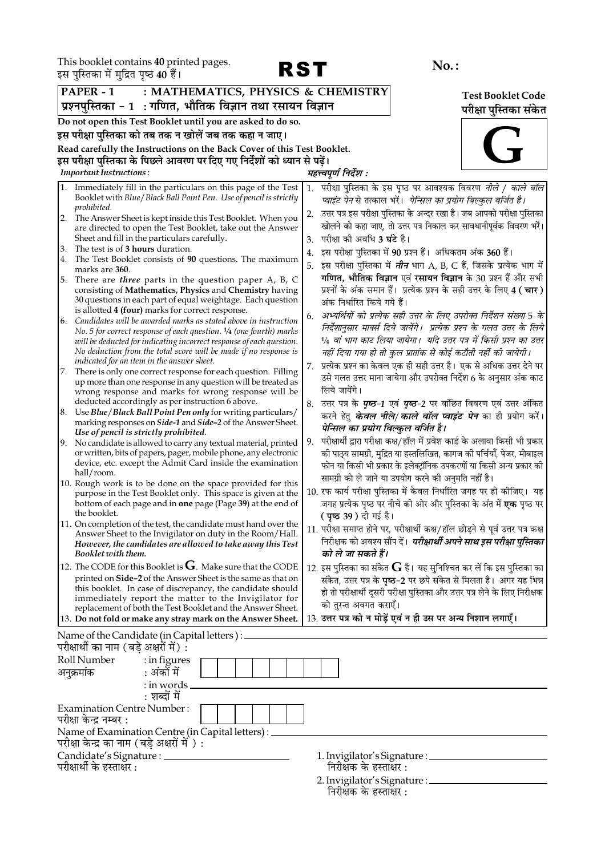This booklet contains 40 printed pages.



|     | इस पुास्तका म मुद्रित पृष्ठ 40 है।                                                                                                  |                                                                                                                                                      |                          |
|-----|-------------------------------------------------------------------------------------------------------------------------------------|------------------------------------------------------------------------------------------------------------------------------------------------------|--------------------------|
|     | : MATHEMATICS, PHYSICS & CHEMISTRY<br>PAPER - 1                                                                                     |                                                                                                                                                      | <b>Test Booklet Code</b> |
|     | प्रश्नपुस्तिका - 1  : गणित, भौतिक विज्ञान तथा रसायन विज्ञान                                                                         |                                                                                                                                                      | परीक्षा पुस्तिका संकेत   |
|     | Do not open this Test Booklet until you are asked to do so.                                                                         |                                                                                                                                                      |                          |
|     | इस परीक्षा पुस्तिका को तब तक न खोलें जब तक कहा न जाए।                                                                               |                                                                                                                                                      |                          |
|     | Read carefully the Instructions on the Back Cover of this Test Booklet.                                                             |                                                                                                                                                      |                          |
|     | इस परीक्षा पुस्तिका के पिछले आवरण पर दिए गए निर्देशों को ध्यान से पढ़ें।                                                            |                                                                                                                                                      |                          |
|     | <b>Important Instructions:</b>                                                                                                      | महत्त्वपूर्ण निर्देश :                                                                                                                               |                          |
| 1.  | Immediately fill in the particulars on this page of the Test<br>Booklet with Blue / Black Ball Point Pen. Use of pencil is strictly | 1. परीक्षा पुस्तिका के इस पृष्ठ पर आवश्यक विवरण <i>नीले / काले बॉल</i><br>प्वाइंट पेन से तत्काल भरें।  पेन्सिल का प्रयोग बिल्कुल वर्जित है।          |                          |
|     | prohibited.<br>2. The Answer Sheet is kept inside this Test Booklet. When you                                                       | उत्तर पत्र इस परीक्षा पुस्तिका के अन्दर रखा है। जब आपको परीक्षा पुस्तिका<br>2.<br>खोलने को कहा जाए, तो उत्तर पत्र निकाल कर सावधानीपूर्वक विवरण भरें। |                          |
|     | are directed to open the Test Booklet, take out the Answer<br>Sheet and fill in the particulars carefully.                          | परीक्षा की अवधि 3 <b>घंटे</b> है।<br>3.                                                                                                              |                          |
| 3.  | The test is of 3 hours duration.                                                                                                    | इस परीक्षा पुस्तिका में 90 प्रश्न हैं। अधिकतम अंक 360 हैं।<br>4.                                                                                     |                          |
| 4.  | The Test Booklet consists of 90 questions. The maximum                                                                              | इस परीक्षा पुस्तिका में <i>तीन</i> भाग A, B, C हैं, जिसके प्रत्येक भाग में<br>5.                                                                     |                          |
| 5.  | marks are 360.<br>There are <i>three</i> parts in the question paper A, B, C                                                        | गणित, भौतिक विज्ञान एवं रसायन विज्ञान के 30 प्रश्न हैं और सभी                                                                                        |                          |
|     | consisting of Mathematics, Physics and Chemistry having                                                                             | प्रश्नों के अंक समान हैं। प्रत्येक प्रश्न के सही उत्तर के लिए 4 (चार)                                                                                |                          |
|     | 30 questions in each part of equal weightage. Each question                                                                         | अंक निर्धारित किये गये हैं।                                                                                                                          |                          |
| 6.  | is allotted 4 (four) marks for correct response.<br>Candidates will be awarded marks as stated above in instruction                 | अभ्यर्थियों को प्रत्येक सही उत्तर के लिए उपरोक्त निर्देशन संख्या 5 के<br>6.                                                                          |                          |
|     | No. 5 for correct response of each question. $\frac{1}{4}$ (one fourth) marks                                                       | निर्देशानुसार मार्क्स दिये जायेंगे।  प्रत्येक प्रश्न के गलत उत्तर के लिये                                                                            |                          |
|     | will be deducted for indicating incorrect response of each question.                                                                | 1⁄4 वां भाग काट लिया जायेगा।  यदि उत्तर पत्र में किसी प्रश्न का उत्तर                                                                                |                          |
|     | No deduction from the total score will be made if no response is                                                                    | नहीं दिया गया हो तो कुल प्राप्तांक से कोई कटौती नहीं की जायेगी।                                                                                      |                          |
| 17. | indicated for an item in the answer sheet.<br>There is only one correct response for each question. Filling                         | प्रत्येक प्रश्न का केवल एक ही सही उत्तर है। एक से अधिक उत्तर देने पर                                                                                 |                          |
|     | up more than one response in any question will be treated as                                                                        | उसे गलत उत्तर माना जायेगा और उपरोक्त निर्देश 6 के अनुसार अंक काट                                                                                     |                          |
|     | wrong response and marks for wrong response will be                                                                                 | लिये जायेंगे।                                                                                                                                        |                          |
|     | deducted accordingly as per instruction 6 above.<br>8. Use Blue/Black Ball Point Pen only for writing particulars/                  | 8. उत्तर पत्र के <b>पृष्ठ-1</b> एवं <b>पृष्ठ-2</b> पर वांछित विवरण एवं उत्तर अंकित                                                                   |                          |
|     | marking responses on <i>Side-1</i> and <i>Side-2</i> of the Answer Sheet.<br>Use of pencil is strictly prohibited.                  | करने हेतु <b>के<i>वल नीले/काले बॉल प्वाइंट पेन</i> का</b> ही प्रयोग करें।<br>पेन्सिल का प्रयोग बिल्कुल वर्जित है।                                    |                          |
|     | 9. No candidate is allowed to carry any textual material, printed                                                                   | परीक्षार्थी द्वारा परीक्षा कक्ष/हॉल में प्रवेश कार्ड के अलावा किसी भी प्रकार<br>9.                                                                   |                          |
|     | or written, bits of papers, pager, mobile phone, any electronic                                                                     | को पाठ्य सामग्री, मुद्रित या हस्तलिखित, कागज को पर्चियाँ, पेजर, मोबाइल                                                                               |                          |
|     | device, etc. except the Admit Card inside the examination<br>hall/room.                                                             | फोन या किसी भी प्रकार के इलेक्ट्रॉनिक उपकरणों या किसी अन्य प्रकार की                                                                                 |                          |
|     | 10. Rough work is to be done on the space provided for this                                                                         | सामग्री को ले जाने या उपयोग करने की अनुमति नहीं है।                                                                                                  |                          |
|     | purpose in the Test Booklet only. This space is given at the                                                                        | 10. रफ कार्य परीक्षा पुस्तिका में केवल निर्धारित जगह पर ही कोजिए। यह                                                                                 |                          |
|     | bottom of each page and in one page (Page 39) at the end of<br>the booklet.                                                         | जगह प्रत्येक पृष्ठ पर नीचे की ओर और पुस्तिका के अंत में <b>एक</b> पृष्ठ पर<br>( पृष्ठ 39 ) दी गई है।                                                 |                          |
|     | 11. On completion of the test, the candidate must hand over the                                                                     | 11. परीक्षा समाप्त होने पर, परीक्षार्थी कक्ष/हॉल छोड़ने से पूर्व उत्तर पत्र कक्ष                                                                     |                          |
|     | Answer Sheet to the Invigilator on duty in the Room/Hall.                                                                           | निरीक्षक को अवश्य सौंप दें। <i>परीक्षार्थी अपने साथ इस परीक्षा पुस्तिका</i>                                                                          |                          |
|     | However, the candidates are allowed to take away this Test<br>Booklet with them.                                                    | को ले जा सकते हैं।                                                                                                                                   |                          |
|     | 12. The CODE for this Booklet is $G$ . Make sure that the CODE                                                                      | 12. इस पुस्तिका का संकेत ${\bf G}$ है। यह सुनिश्चित कर लें कि इस पुस्तिका का                                                                         |                          |
|     | printed on Side-2 of the Answer Sheet is the same as that on                                                                        | संकेत, उत्तर पत्र के पृष्ठ-2 पर छपे संकेत से मिलता है। अगर यह भिन्न                                                                                  |                          |
|     | this booklet. In case of discrepancy, the candidate should                                                                          | हो तो परीक्षार्थी दूसरी परीक्षा पुस्तिका और उत्तर पत्र लेने के लिए निरीक्षक                                                                          |                          |
|     | immediately report the matter to the Invigilator for<br>replacement of both the Test Booklet and the Answer Sheet.                  | को तुरन्त अवगत कराएँ।                                                                                                                                |                          |
|     | 13. Do not fold or make any stray mark on the Answer Sheet.                                                                         | 13. उत्तर पत्र को न मोड़ें एवं न ही उस पर अन्य निशान लगाएँ।                                                                                          |                          |
|     | Name of the Candidate (in Capital letters) : _                                                                                      |                                                                                                                                                      |                          |
|     | परीक्षार्थी का नाम (बड़े अक्षरों में) :                                                                                             |                                                                                                                                                      |                          |
|     | Roll Number<br>: in figures                                                                                                         |                                                                                                                                                      |                          |
|     | : अंकों में<br>अनुक्रमांक                                                                                                           |                                                                                                                                                      |                          |
|     | $:$ in words $\overline{\phantom{a}}$<br>: शब्दों में                                                                               |                                                                                                                                                      |                          |
|     | <b>Examination Centre Number:</b>                                                                                                   |                                                                                                                                                      |                          |
|     | परीक्षा केन्द्र नम्बर :<br>Name of Examination Centre (in Capital letters) : _                                                      |                                                                                                                                                      |                          |
|     | परीक्षा केन्द्र का नाम (बड़े अक्षरों में ) :                                                                                        |                                                                                                                                                      |                          |
|     | Candidate's Signature : _______                                                                                                     |                                                                                                                                                      |                          |
|     | परीक्षार्थी के हस्ताक्षर :                                                                                                          | निरीक्षक के हस्ताक्षर :                                                                                                                              |                          |
|     |                                                                                                                                     | 2. Invigilator's Signature : ____________                                                                                                            |                          |
|     |                                                                                                                                     | निरीक्षक के हस्ताक्षर :                                                                                                                              |                          |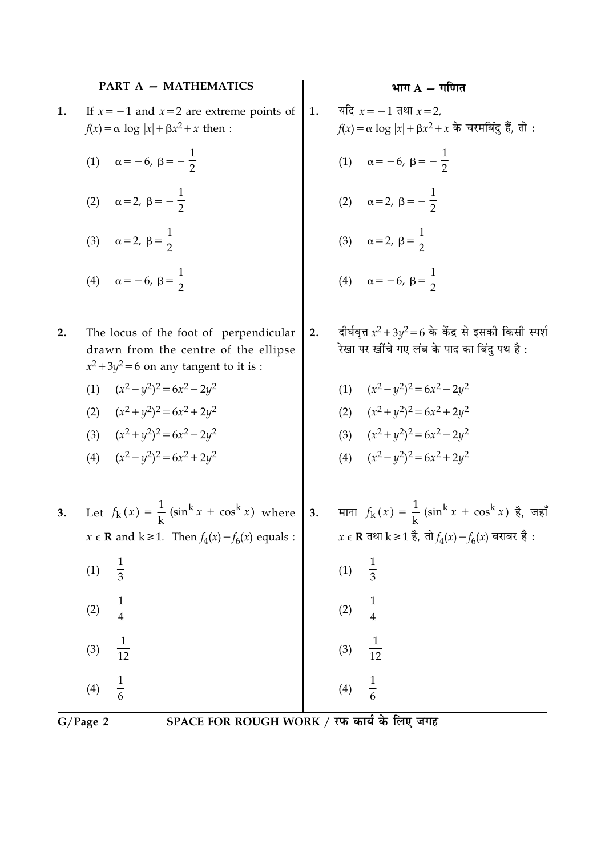### **PART A - MATHEMATICS**

- If  $x = -1$  and  $x = 2$  are extreme points of 1.  $f(x) = \alpha \log |x| + \beta x^2 + x$  then:
	- (1)  $\alpha = -6, \ \beta = -\frac{1}{2}$
	- (2)  $\alpha = 2, \beta = -\frac{1}{2}$
	- (3)  $\alpha = 2, \ \beta = \frac{1}{2}$
	- (4)  $\alpha = -6, \ \beta = \frac{1}{2}$
- $2.$ The locus of the foot of perpendicular drawn from the centre of the ellipse  $x^2 + 3y^2 = 6$  on any tangent to it is :
	- (1)  $(x^2 y^2)^2 = 6x^2 2y^2$
	- (2)  $(x^2 + y^2)^2 = 6x^2 + 2y^2$
	- (3)  $(x^2 + y^2)^2 = 6x^2 2y^2$
	- (4)  $(x^2 y^2)^2 = 6x^2 + 2y^2$
- भाग  $A \overline{\eta}$ गणित
- यदि  $x = -1$  तथा  $x = 2$ ,  $f(x) = \alpha \log |x| + \beta x^2 + x$  के चरमबिंदु हैं, तो : (1)  $\alpha = -6, \ \beta = -\frac{1}{2}$ (2)  $\alpha = 2, \beta = -\frac{1}{2}$ (3)  $\alpha = 2, \ \beta = \frac{1}{2}$ (4)  $\alpha = -6, \ \beta = \frac{1}{2}$
- दीर्घवृत्त  $x^2 + 3y^2 = 6$  के केंद्र से इसकी किसी स्पर्श  $2.$ रेखा पर खींचे गए लंब के पाद का बिंदु पथ है :

(1) 
$$
(x^2 - y^2)^2 = 6x^2 - 2y^2
$$

(2) 
$$
(x^2 + y^2)^2 = 6x^2 + 2y^2
$$

- (3)  $(x^2+y^2)^2=6x^2-2y^2$
- (4)  $(x^2 y^2)^2 = 6x^2 + 2y^2$
- 3. Let  $f_k(x) = \frac{1}{k} (\sin^k x + \cos^k x)$  where **3.** माना  $f_k(x) = \frac{1}{k} (\sin^k x + \cos^k x)$  है, जहाँ  $x \in \mathbf{R}$  तथा k ≥ 1 है, तो  $f_4(x) - f_6(x)$  बराबर है :  $x \in \mathbf{R}$  and  $k \ge 1$ . Then  $f_4(x) - f_6(x)$  equals :  $\frac{1}{3}$  $\frac{1}{3}$  $(1)$  $(1)$  $\frac{1}{4}$  $(2)$  $(2)$  $\frac{1}{12}$  $(3)$  $(3)$  $\frac{1}{6}$  $\frac{1}{6}$  $(4)$  $(4)$

1.

 $G/Page$  2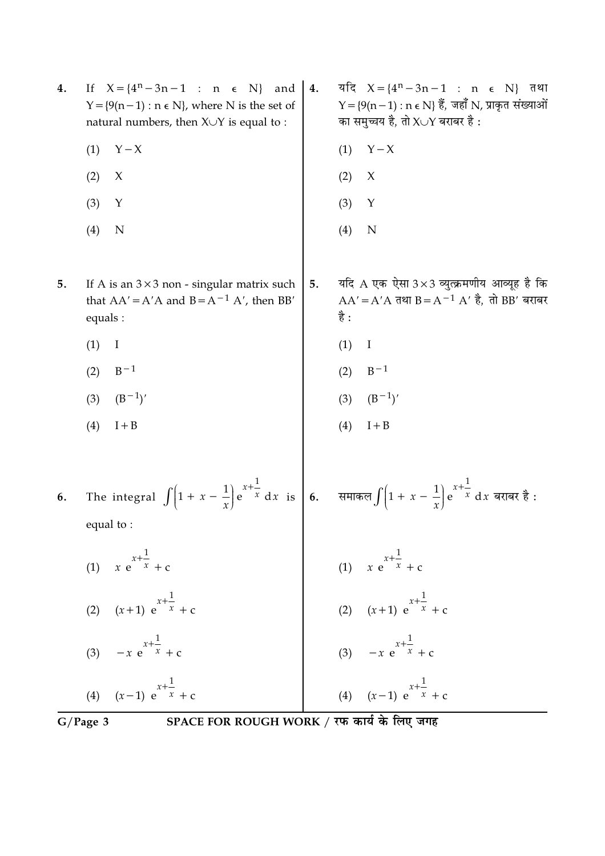|    | SPACE FOR ROUGH WORK / रफ कार्य के लिए जगह<br>$G/Page$ 3                                                                                                                           |    |                                                                                                                                                 |
|----|------------------------------------------------------------------------------------------------------------------------------------------------------------------------------------|----|-------------------------------------------------------------------------------------------------------------------------------------------------|
|    | (4) $(x-1) e^{x+\frac{1}{x}} + c$                                                                                                                                                  |    | (4) $(x-1) e^{x+\frac{1}{x}} + c$                                                                                                               |
|    | (3) $-x e^{x + \frac{1}{x}} + c$                                                                                                                                                   |    | (3) $-x e^{x + \frac{1}{x}} + c$                                                                                                                |
|    | (2) $(x+1) e^{x+\frac{1}{x}} + c$                                                                                                                                                  |    | (2) $(x+1) e^{x+\frac{1}{x}} + c$                                                                                                               |
|    | (1) $x e^{x + \frac{1}{x}} + c$                                                                                                                                                    |    | (1) $x e^{x + \frac{1}{x}} + c$                                                                                                                 |
|    | equal to:                                                                                                                                                                          |    |                                                                                                                                                 |
| 6. | The integral $\int \left(1 + x - \frac{1}{x}\right) e^{x + \frac{1}{x}} dx$ is $\left  6 \right $ . समाकल $\int \left(1 + x - \frac{1}{x}\right) e^{x + \frac{1}{x}} dx$ बराबर है: |    |                                                                                                                                                 |
|    | $I + B$<br>(4)                                                                                                                                                                     |    | (4)<br>$I + B$                                                                                                                                  |
|    | $(B^{-1})'$<br>(3)                                                                                                                                                                 |    | $(B^{-1})'$<br>(3)                                                                                                                              |
|    | $B-1$<br>(2)                                                                                                                                                                       |    | $B-1$<br>(2)                                                                                                                                    |
|    | (1)<br>I                                                                                                                                                                           |    | (1)<br>I                                                                                                                                        |
| 5. | If A is an $3 \times 3$ non - singular matrix such<br>that $AA' = A'A$ and $B = A^{-1} A'$ , then BB'<br>equals :                                                                  | 5. | यदि A एक ऐसा $3\times 3$ व्युत्क्रमणीय आव्यूह है कि<br>$AA' = A'A$ तथा $B = A^{-1} A'$ है, तो BB' बराबर<br>है :                                 |
|    | (4)<br>N                                                                                                                                                                           |    | (4)<br>N                                                                                                                                        |
|    | (3)<br>Y                                                                                                                                                                           |    | (3)<br>Y                                                                                                                                        |
|    | (2)<br>X                                                                                                                                                                           |    | (2)<br>$\chi$                                                                                                                                   |
|    | $Y - X$<br>(1)                                                                                                                                                                     |    | $Y - X$<br>(1)                                                                                                                                  |
| 4. | If $X = \{4^n - 3n - 1 : n \in N\}$ and<br>$Y = \{9(n-1) : n \in N\}$ , where N is the set of<br>natural numbers, then $X \cup Y$ is equal to :                                    | 4. | यदि $X = \{4^n - 3n - 1 : n \in N\}$ तथा<br>$Y = \{9(n-1) : n \in N\}$ हैं, जहाँ N, प्राकृत संख्याओं<br>का समुच्चय है, तो $X \cup Y$ बराबर है : |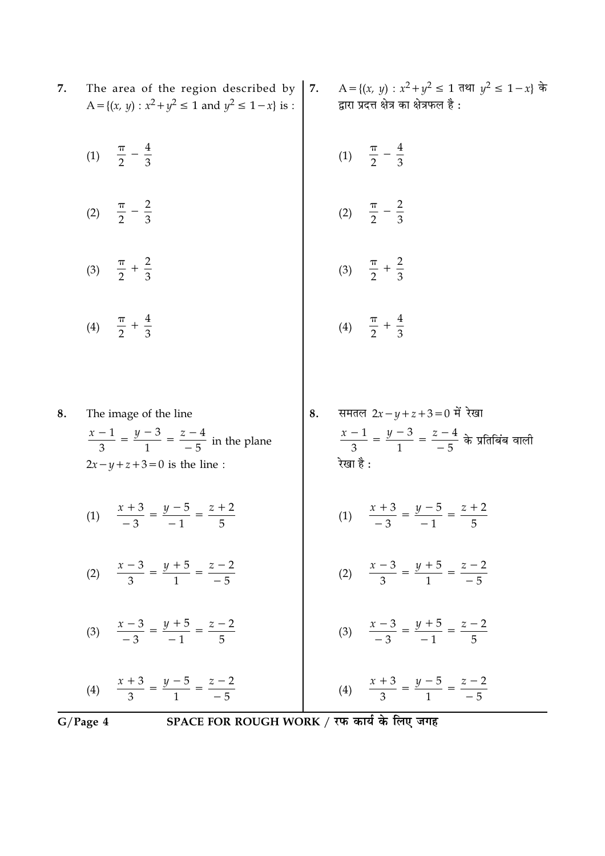| 7.       | The area of the region described by $ 7.$<br>A = { $(x, y)$ : $x^2 + y^2 \le 1$ and $y^2 \le 1 - x$ } is :                   |    | A = {(x, y) : $x^2 + y^2 \le 1$ तथा $y^2 \le 1 - x$ } के<br>द्वारा प्रदत्त क्षेत्र का क्षेत्रफल है :                  |
|----------|------------------------------------------------------------------------------------------------------------------------------|----|-----------------------------------------------------------------------------------------------------------------------|
|          | (1) $\frac{\pi}{2} - \frac{4}{3}$                                                                                            |    | (1) $\frac{\pi}{2} - \frac{4}{3}$                                                                                     |
|          | (2) $\frac{\pi}{2} - \frac{2}{3}$                                                                                            |    | (2) $\frac{\pi}{2} - \frac{2}{3}$                                                                                     |
|          | (3) $\frac{\pi}{2} + \frac{2}{3}$                                                                                            |    | (3) $\frac{\pi}{2} + \frac{2}{3}$                                                                                     |
|          | (4) $\frac{\pi}{2} + \frac{4}{3}$                                                                                            |    | (4) $\frac{\pi}{2} + \frac{4}{3}$                                                                                     |
| 8.       | The image of the line<br>$\frac{x-1}{3} = \frac{y-3}{1} = \frac{z-4}{-5}$ in the plane<br>$2x - y + z + 3 = 0$ is the line : | 8. | समतल $2x - y + z + 3 = 0$ में रेखा<br>$\frac{x-1}{3} = \frac{y-3}{1} = \frac{z-4}{-5}$ के प्रतिबिंब वाली<br>रेखा है : |
|          | (1) $\frac{x+3}{-3} = \frac{y-5}{-1} = \frac{z+2}{5}$                                                                        |    | (1) $\frac{x+3}{-3} = \frac{y-5}{-1} = \frac{z+2}{5}$                                                                 |
|          | (2) $\frac{x-3}{3} = \frac{y+5}{1} = \frac{z-2}{-5}$                                                                         |    | (2) $\frac{x-3}{3} = \frac{y+5}{1} = \frac{z-2}{-5}$                                                                  |
|          | (3) $\frac{x-3}{-3} = \frac{y+5}{-1} = \frac{z-2}{5}$                                                                        |    | (3) $\frac{x-3}{-3} = \frac{y+5}{-1} = \frac{z-2}{5}$                                                                 |
| G/Page 4 | (4) $\frac{x+3}{3} = \frac{y-5}{1} = \frac{z-2}{-5}$<br>SPACE FOR ROUGH WORK / रफ कार्य के लिए जगह                           |    | (4) $\frac{x+3}{3} = \frac{y-5}{1} = \frac{z-2}{-5}$                                                                  |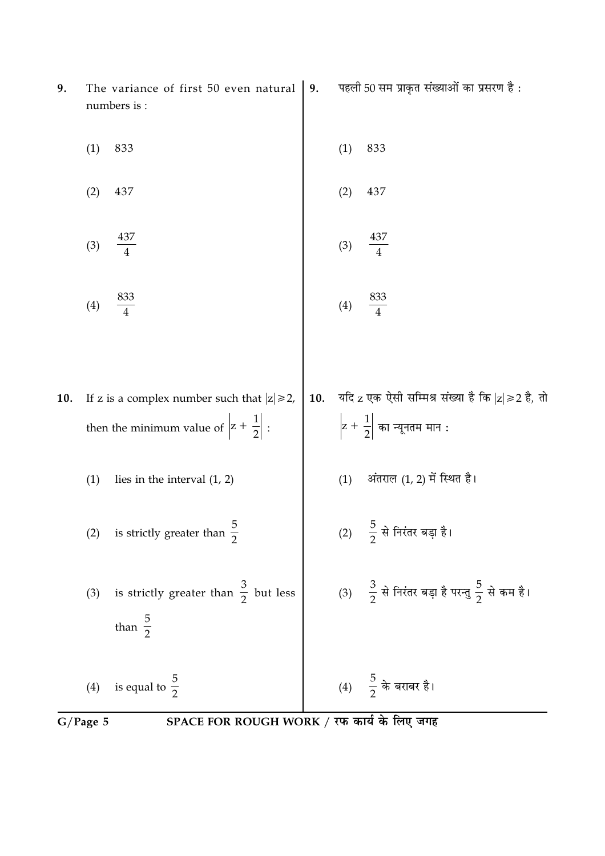| 9.  | The variance of first 50 even natural<br>numbers is :                                                          | 9.  |     | पहली 50 सम प्राकृत संख्याओं का प्रसरण है:                                                                                 |
|-----|----------------------------------------------------------------------------------------------------------------|-----|-----|---------------------------------------------------------------------------------------------------------------------------|
|     | 833<br>(1)                                                                                                     |     | (1) | 833                                                                                                                       |
|     | (2)<br>437                                                                                                     |     | (2) | 437                                                                                                                       |
|     | 437<br>(3)                                                                                                     |     | (3) | 437                                                                                                                       |
|     | $\frac{833}{4}$<br>(4)                                                                                         |     | (4) | $\frac{833}{4}$                                                                                                           |
|     |                                                                                                                |     |     |                                                                                                                           |
| 10. | If z is a complex number such that $ z  \ge 2$ ,<br>then the minimum value of $\left z + \frac{1}{2}\right $ : | 10. |     | यदि $\rm z$ एक ऐसी सम्मिश्र संख्या है कि $\rm  z \!\geqslant\! 2$ है, तो<br>$\left z+\frac{1}{2}\right $ का न्यूनतम मान : |
|     | (1)<br>lies in the interval $(1, 2)$                                                                           |     | (1) | अंतराल (1, 2) में स्थित है।                                                                                               |
|     | (2) is strictly greater than $\frac{3}{2}$                                                                     |     |     | (2) $\frac{5}{2}$ से निरंतर बड़ा है।                                                                                      |
|     | is strictly greater than $\frac{3}{2}$ but less<br>(3)<br>than $\frac{5}{2}$                                   |     |     | (3) $\frac{3}{2}$ से निरंतर बड़ा है परन्तु $\frac{5}{2}$ से कम है।                                                        |
|     | (4) is equal to $\frac{5}{2}$                                                                                  |     |     | (4) $\frac{5}{2}$ के बराबर है।                                                                                            |
|     | SPACE FOR ROUGH WORK / रफ कार्य के लिए जगह<br>G/Page 5                                                         |     |     |                                                                                                                           |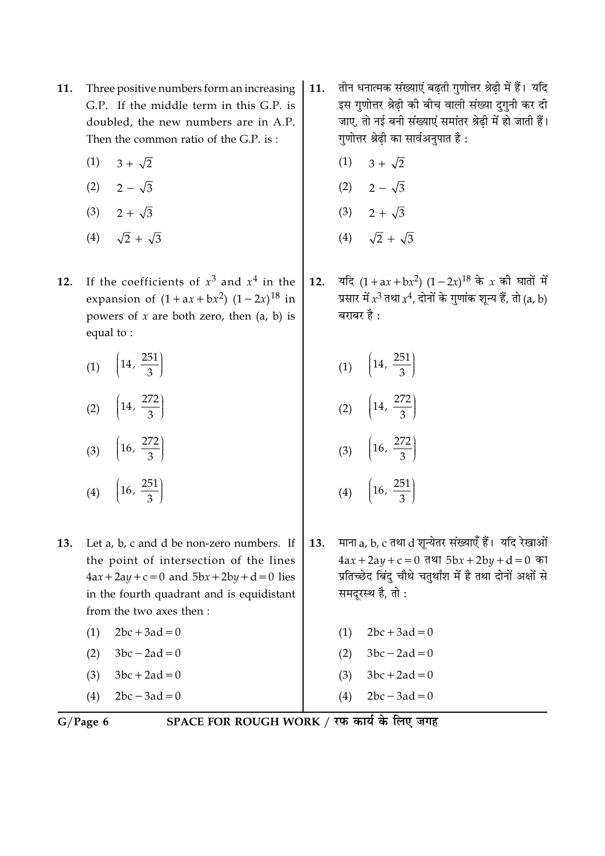- Three positive numbers form an increasing 11. G.P. If the middle term in this G.P. is doubled, the new numbers are in A.P. Then the common ratio of the G.P. is:
	- $3 + \sqrt{2}$  $(1)$
	- $(2)$   $2 \sqrt{3}$
	- $(3)$  2 +  $\sqrt{3}$
	- (4)  $\sqrt{2} + \sqrt{3}$
- If the coefficients of  $x^3$  and  $x^4$  in the 12. expansion of  $(1 + ax + bx^2) (1 - 2x)^{18}$  in powers of  $x$  are both zero, then  $(a, b)$  is equal to:

| (1) | $\left(14, \frac{251}{2}\right)$<br>$\frac{1}{3}$ |
|-----|---------------------------------------------------|
| (2) | $\left(14, \frac{272}{1}\right)$                  |

(3) 
$$
\left(16, \frac{272}{3}\right)
$$
  
(4)  $\left(16, \frac{251}{3}\right)$ 

 $\overline{3}$ 

- 13. Let a, b, c and d be non-zero numbers. If the point of intersection of the lines  $4ax + 2ay + c = 0$  and  $5bx + 2by + d = 0$  lies in the fourth quadrant and is equidistant from the two axes then:
	- $2bc + 3ad = 0$  $(1)$
	- $(2)$  $3bc - 2ad = 0$  $3bc + 2ad = 0$  $(3)$
	-
	- $2bc 3ad = 0$  $(4)$
- तीन धनात्मक संख्याएं बढती गुणोत्तर श्रेढी में हैं। यदि 11. इस गुणोत्तर श्रेढ़ी की बीच वाली संख्या दुगुनी कर दी जाए. तो नई बनी संख्याएं समांतर श्रेढी में हो जाती हैं। गुणोत्तर श्रेढी का सार्वअनुपात है :
	- $3 + \sqrt{2}$  $(1)$
	- (2)  $2 \sqrt{3}$
	- (3)  $2 + \sqrt{3}$
	- (4)  $\sqrt{2} + \sqrt{3}$
- यदि  $(1 + ax + bx^2) (1 2x)^{18}$  के x की घातों में  $12.$ प्रसार में  $x^3$  तथा  $x^4$ , दोनों के गुणांक शुन्य हैं, तो (a, b) बराबर है :
	- (1)  $\left(14, \frac{251}{3}\right)$ (2)  $\left(14, \frac{272}{3}\right)$
	- (3)  $\left(16, \frac{272}{3}\right)$
	- (4)  $\left(16, \frac{251}{3}\right)$
- माना a, b, c तथा d शुन्येतर संख्याएँ हैं। यदि रेखाओं 13.  $4ax + 2ay + c = 0$  तथा  $5bx + 2by + d = 0$  का प्रतिच्छेद बिंदु चौथे चतुर्थांश में है तथा दोनों अक्षों से समदरस्थ है, तो:
	- $2bc + 3ad = 0$  $(1)$  $(2)$  $3bc - 2ad = 0$
	- $3bc + 2ad = 0$  $(3)$
	- $2bc 3ad = 0$  $(4)$

 $G/Page 6$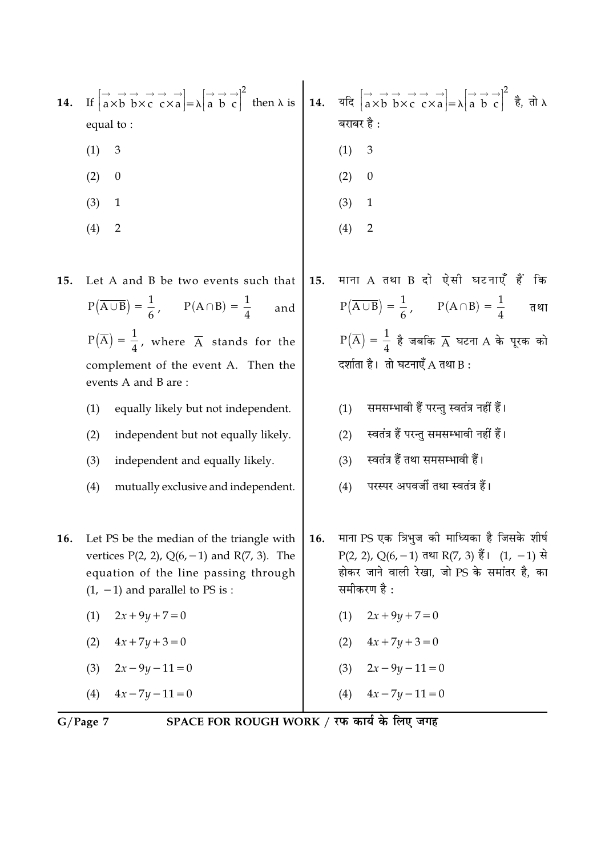| 14. | If $\begin{bmatrix} \rightarrow & \rightarrow & \rightarrow & \rightarrow \\ a \times b & b \times c & c \times a \end{bmatrix} = \lambda \begin{bmatrix} \rightarrow & \rightarrow & \rightarrow \\ a & b & c \end{bmatrix}^2$ then $\lambda$ is $\begin{bmatrix} 14. & \text{if } a \times b & b \times c & c \times a \\ a \times b & b \times c & c \times a \end{bmatrix} = \lambda \begin{bmatrix} \rightarrow & \rightarrow & \rightarrow \\ a & b & c \end{bmatrix}^2$ $\dot{a}, \dot{a}, \dot{b}, \dot{c}$<br>equal to:<br>$\mathfrak{Z}$<br>(1)<br>(2)<br>$\boldsymbol{0}$<br>(3)<br>$\mathbf{1}$<br>(4)<br>$\overline{2}$ |     | बराबर है :<br>(1)<br>3<br>(2)<br>$\boldsymbol{0}$<br>(3)<br>$\mathbf{1}$<br>(4)<br>$\overline{2}$                                                                                                                                                                                                                                                                                                                           |
|-----|--------------------------------------------------------------------------------------------------------------------------------------------------------------------------------------------------------------------------------------------------------------------------------------------------------------------------------------------------------------------------------------------------------------------------------------------------------------------------------------------------------------------------------------------------------------------------------------------------------------------------------------|-----|-----------------------------------------------------------------------------------------------------------------------------------------------------------------------------------------------------------------------------------------------------------------------------------------------------------------------------------------------------------------------------------------------------------------------------|
| 15. | Let A and B be two events such that<br>$P(\overline{A \cup B}) = \frac{1}{6}, \qquad P(A \cap B) = \frac{1}{4}$<br>and<br>$P(\overline{A}) = \frac{1}{4}$ , where $\overline{A}$ stands for the<br>complement of the event A. Then the<br>events A and B are:<br>(1)<br>equally likely but not independent.<br>(2)<br>independent but not equally likely.<br>independent and equally likely.<br>(3)<br>mutually exclusive and independent.<br>(4)                                                                                                                                                                                    | 15. | माना A तथा B दो ऐसी घटनाएँ हैं कि<br>$P(\overline{A \cup B}) = \frac{1}{6}, \qquad P(A \cap B) = \frac{1}{4}$<br>तथा<br>$P(\overline{A}) = \frac{1}{4}$ है जबकि $\overline{A}$ घटना A के पूरक को<br>दर्शाता है। तो घटनाएँ A तथा B:<br>समसम्भावी हैं परन्तु स्वतंत्र नहीं हैं।<br>(1)<br>स्वतंत्र हैं परन्तु समसम्भावी नहीं हैं।<br>(2)<br>स्वतंत्र हैं तथा समसम्भावी हैं।<br>(3)<br>परस्पर अपवर्जी तथा स्वतंत्र हैं।<br>(4) |
| 16. | Let PS be the median of the triangle with<br>vertices $P(2, 2)$ , $Q(6, -1)$ and $R(7, 3)$ . The<br>equation of the line passing through<br>$(1, -1)$ and parallel to PS is :<br>$2x + 9y + 7 = 0$<br>(1)<br>(2)<br>$4x + 7y + 3 = 0$<br>$2x - 9y - 11 = 0$<br>(3)<br>$4x - 7y - 11 = 0$<br>(4)                                                                                                                                                                                                                                                                                                                                      | 16. | माना PS एक त्रिभुज की माध्यिका है जिसके शीर्ष<br>P(2, 2), Q(6, -1) तथा R(7, 3) हैं। (1, -1) से<br>होकर जाने वाली रेखा, जो PS के समांतर है, का<br>समीकरण है :<br>$2x + 9y + 7 = 0$<br>(1)<br>$4x + 7y + 3 = 0$<br>(2)<br>$2x - 9y - 11 = 0$<br>(3)<br>$4x - 7y - 11 = 0$<br>(4)                                                                                                                                              |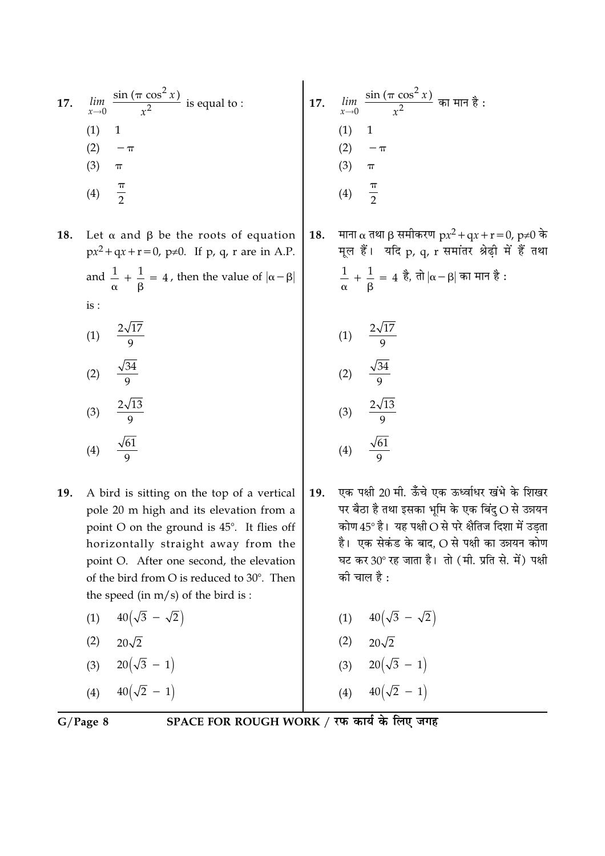17. 
$$
\lim_{x \to 0} \frac{\sin (\pi \cos^2 x)}{x^2}
$$
 is equal to :  
\n(1) 1  
\n(2)  $-\pi$   
\n(3)  $\pi$   
\n(4)  $\frac{\pi}{2}$ 

- Let  $\alpha$  and  $\beta$  be the roots of equation 18.  $px^2 + qx + r = 0$ , p≠0. If p, q, r are in A.P. and  $\frac{1}{\alpha} + \frac{1}{\beta} = 4$ , then the value of  $|\alpha - \beta|$ is :
	- $\frac{2\sqrt{17}}{9}$  $(1)$  $\sqrt{34}$  $\sim$

$$
(2) \quad \frac{1}{9}
$$
\n
$$
(3) \quad \frac{2\sqrt{13}}{9}
$$

$$
(4) \quad \frac{\sqrt{61}}{9}
$$

- 19. A bird is sitting on the top of a vertical pole 20 m high and its elevation from a point O on the ground is 45°. It flies off horizontally straight away from the point O. After one second, the elevation of the bird from O is reduced to 30°. Then the speed (in  $m/s$ ) of the bird is:
	- $40(\sqrt{3} \sqrt{2})$  $(1)$
	- $(2)$   $20\sqrt{2}$
	- (3)  $20(\sqrt{3} 1)$
	- $40(\sqrt{2} 1)$  $(4)$

17. 
$$
\lim_{x \to 0} \frac{\sin (\pi \cos^2 x)}{x^2} \text{ and } \tan \theta \text{ } \frac{\pi}{3}:
$$
  
(1) 1  
(2)  $-\pi$   
(3)  $\pi$   
(4)  $\frac{\pi}{2}$ 

माना α तथा β समीकरण  $px^2 + qx + r = 0$ , p≠0 के 18. मूल हैं। यदि p, q, r समांतर श्रेढ़ी में हैं तथा  $\frac{1}{\alpha} + \frac{1}{\beta} = 4$  है, तो  $|\alpha - \beta|$  का मान है:

(1) 
$$
\frac{2\sqrt{17}}{9}
$$
  
\n(2)  $\frac{\sqrt{34}}{9}$   
\n(3)  $\frac{2\sqrt{13}}{9}$   
\n(4)  $\frac{\sqrt{61}}{9}$ 

- एक पक्षी 20 मी. ऊँचे एक ऊर्ध्वाधर खंभे के शिखर 19. पर बैठा है तथा इसका भूमि के एक बिंदु O से उन्नयन कोण  $45^{\circ}$  है। यह पक्षी $\overline{\mathrm{O}}$  से परे क्षैतिज दिशा में उड़ता है। एक सेकंड के बाद, O से पक्षी का उन्नयन कोण घट कर 30° रह जाता है। तो (मी. प्रति से. में) पक्षी की चाल है :
	- (1)  $40(\sqrt{3} \sqrt{2})$
	- $(2)$  $20\sqrt{2}$
	- (3)  $20(\sqrt{3} 1)$
	- $40(\sqrt{2} 1)$  $(4)$

 $G/Page 8$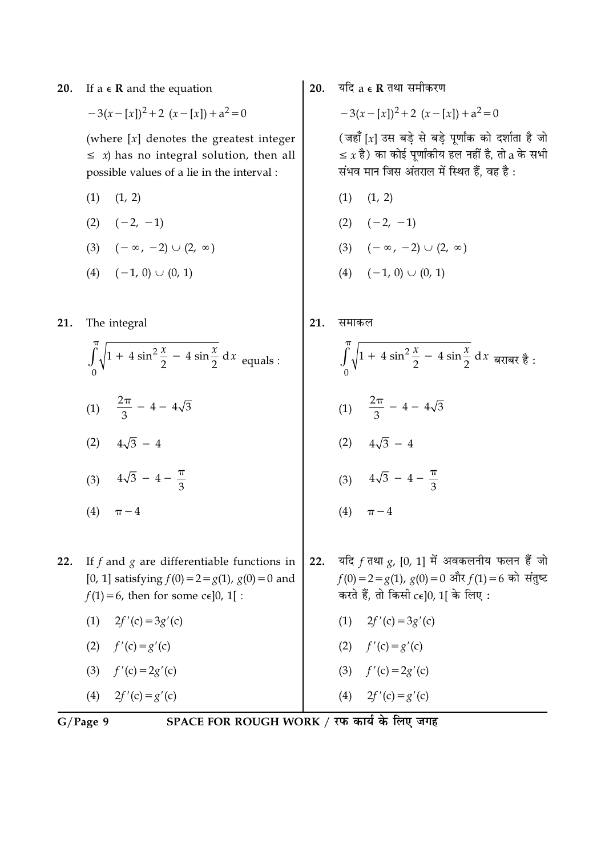If  $a \in \mathbb{R}$  and the equation 20.

 $-3(x-[x])^2+2(x-[x])+a^2=0$ 

(where  $[x]$  denotes the greatest integer  $\leq x$ ) has no integral solution, then all possible values of a lie in the interval :

- $(1)$   $(1, 2)$
- $(2) \quad (-2, -1)$
- (3)  $(-\infty, -2) \cup (2, \infty)$
- $(4)$   $(-1, 0)$   $\cup$   $(0, 1)$

The integral  $21.$ 

- $\int_{0}^{\pi}\sqrt{1+4\sin^2{\frac{x}{2}}-4\sin{\frac{x}{2}}}\,dx$  equals : (1)  $\frac{2\pi}{3}$  - 4 - 4 $\sqrt{3}$
- (2)  $4\sqrt{3} 4$
- (3)  $4\sqrt{3} 4 \frac{\pi}{3}$
- (4)  $\pi 4$

If  $f$  and  $g$  are differentiable functions in  $22.$ [0, 1] satisfying  $f(0) = 2 = g(1)$ ,  $g(0) = 0$  and  $f(1) = 6$ , then for some c $\epsilon$ [0, 1] :

- $(1)$  $2f'(c) = 3g'(c)$
- (2)  $f'(c) = g'(c)$
- (3)  $f'(c) = 2g'(c)$

$$
(4) \qquad 2f'(c) = g'(c)
$$

SPACE FOR ROUGH WORK / रफ कार्य के लिए जगह

यदि  $a \in \mathbf{R}$  तथा समीकरण  $20.$ 

$$
-3(x-[x])^2+2(x-[x])+a^2=0
$$

(जहाँ [x] उस बड़े से बड़े पूर्णांक को दर्शाता है जो  $\leq x$  है) का कोई पुर्णांकीय हल नहीं है, तो a के सभी संभव मान जिस अंतराल में स्थित हैं, वह है:

- $(1)$   $(1, 2)$  $(2) \quad (-2, -1)$ (3)  $(-\infty, -2) \cup (2, \infty)$
- $(4)$   $(-1, 0)$   $\cup$   $(0, 1)$
- $21.$ समाकल
	- $\int_{0}^{\pi}\sqrt{1+4\sin^2{\frac{x}{2}}-4\sin{\frac{x}{2}}}\,dx$  बराबर है : (1)  $\frac{2\pi}{3}$  - 4 - 4 $\sqrt{3}$ (2)  $4\sqrt{3} - 4$ (3)  $4\sqrt{3} - 4 - \frac{\pi}{3}$ (4)  $\pi - 4$
- $22.$ यदि  $f$  तथा  $g$ , [0, 1] में अवकलनीय फलन हैं जो  $f(0) = 2 = g(1), g(0) = 0$  और  $f(1) = 6$  को संतुष्ट करते हैं, तो किसी cel0, 11 के लिए:
	- $2f'(c) = 3g'(c)$
	- (2)  $f'(c) = g'(c)$ <br>(3)  $f'(c) = 2g'(c)$
	-

(4) 
$$
2f'(c) = g'(c)
$$

 $G/Page$  9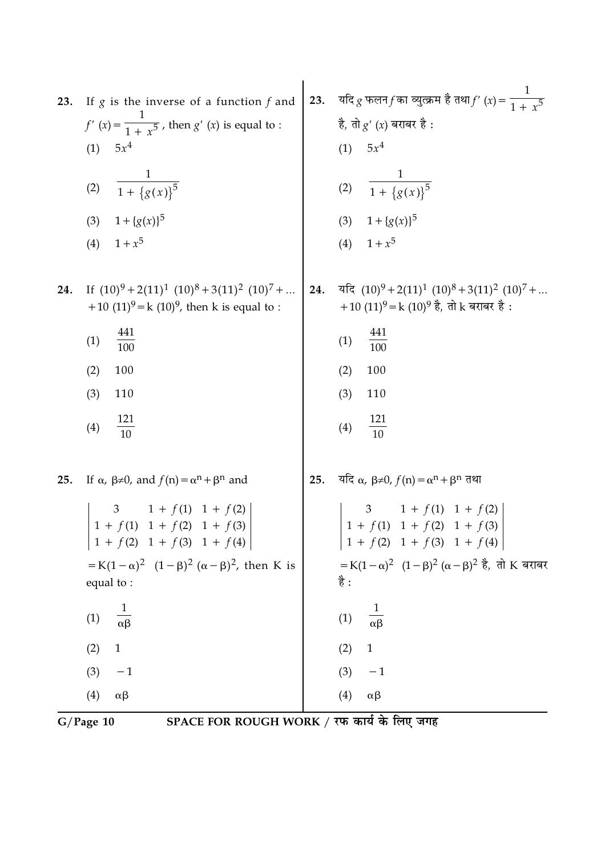| 23. | If $g$ is the inverse of a function $f$ and<br>$f'(x) = \frac{1}{1 + x^5}$ , then $g'(x)$ is equal to :<br>$5x^4$<br>(1)<br>$\frac{1}{1+\{g(x)\}^5}$<br>(2)<br>(3) $1 + {g(x)}^5$<br>$1 + x^5$<br>(4)                                                                                                                                                                                             | 23. | यदि $g$ फलन $f$ का व्युत्क्रम है तथा $f'(x) = \frac{1}{1 + x^5}$<br>है, तो $g'(x)$ बराबर है :<br>$5x^4$<br>(1)<br>(2) $\frac{1}{1 + \{g(x)\}^5}$<br>(3) $1 + {g(x)}^5$<br>(4) $1 + x^5$                                                                                                                                                     |
|-----|---------------------------------------------------------------------------------------------------------------------------------------------------------------------------------------------------------------------------------------------------------------------------------------------------------------------------------------------------------------------------------------------------|-----|---------------------------------------------------------------------------------------------------------------------------------------------------------------------------------------------------------------------------------------------------------------------------------------------------------------------------------------------|
| 24. | If $(10)^9 + 2(11)^1 (10)^8 + 3(11)^2 (10)^7 + $<br>+10 $(11)^9$ = k $(10)^9$ , then k is equal to :<br>441<br>(1)<br>$\overline{100}$<br>100<br>(2)<br>(3)<br>110<br>$\frac{121}{10}$<br>(4)                                                                                                                                                                                                     | 24. | यदि $(10)^9 + 2(11)^1 (10)^8 + 3(11)^2 (10)^7 + $<br>+10 (11) <sup>9</sup> = k (10) <sup>9</sup> है, तो k बराबर है :<br>$\frac{441}{100}$<br>(1)<br>(2)<br>100<br>(3)<br>110<br>$\frac{121}{10}$<br>(4)                                                                                                                                     |
| 25. | If $\alpha$ , $\beta \neq 0$ , and $f(n) = \alpha^n + \beta^n$ and<br>3 1 + $f(1)$ 1 + $f(2)$<br>1 + $f(1)$ 1 + $f(2)$ 1 + $f(3)$<br>$1 + f(2)$ 1 + $f(3)$ 1 + $f(4)$<br>= K(1 – $\alpha$ ) <sup>2</sup> (1 – $\beta$ ) <sup>2</sup> ( $\alpha$ – $\beta$ ) <sup>2</sup> , then K is<br>equal to:<br>$\frac{1}{\alpha\beta}$<br>(1)<br>$\mathbf{1}$<br>(2)<br>(3)<br>$-1$<br>(4)<br>$\alpha\beta$ | 25. | यदि $\alpha$ , $\beta \neq 0$ , $f(n) = \alpha^n + \beta^n$ तथा<br>3 1 + $f(1)$ 1 + $f(2)$<br>1 + $f(1)$ 1 + $f(2)$ 1 + $f(3)$<br>$1 + f(2) + f(3) + f(4)$<br>$= K(1 - \alpha)^2$ $(1 - \beta)^2 (\alpha - \beta)^2$ है, तो K बराबर<br>है :<br>$\frac{1}{\alpha\beta}$<br>(1)<br>$\mathbf{1}$<br>(2)<br>$-1$<br>(3)<br>(4)<br>$\alpha\beta$ |

 $\overline{G/Page 10}$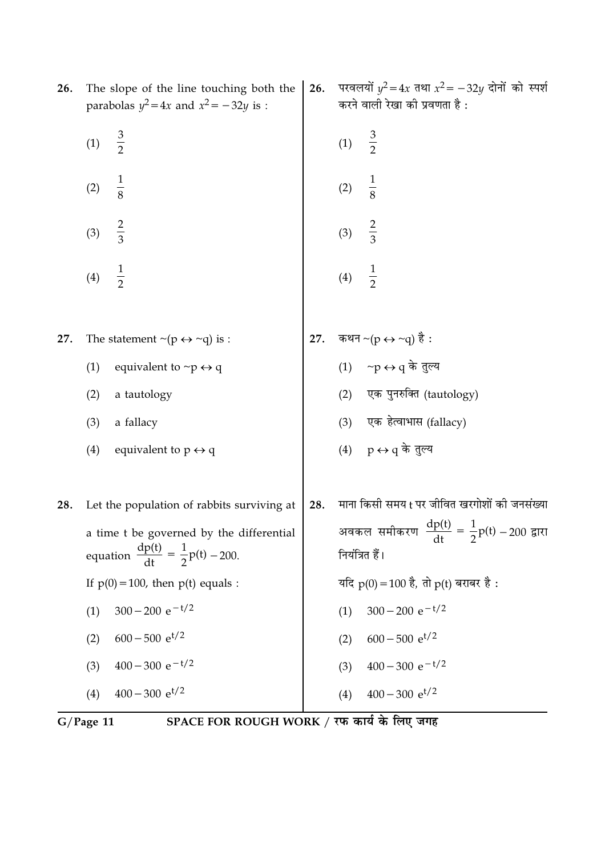| 26. | The slope of the line touching both the<br>parabolas $y^2 = 4x$ and $x^2 = -32y$ is :            | 26. | परवलयों $y^2 = 4x$ तथा $x^2 = -32y$ दोनों को स्पर्श<br>करने वाली रेखा की प्रवणता है : |
|-----|--------------------------------------------------------------------------------------------------|-----|---------------------------------------------------------------------------------------|
|     | $rac{3}{2}$<br>(1)                                                                               |     | $rac{3}{2}$<br>(1)                                                                    |
|     | $\frac{1}{8}$<br>(2)                                                                             |     | $\frac{1}{8}$<br>(2)                                                                  |
|     | $rac{2}{3}$<br>(3)                                                                               |     | $rac{2}{3}$<br>(3)                                                                    |
|     | $\frac{1}{2}$<br>(4)                                                                             |     | $\frac{1}{2}$<br>(4)                                                                  |
| 27. | The statement $\mathord{\sim} (p \leftrightarrow \mathord{\sim} q)$ is :                         | 27. |                                                                                       |
|     | (1)<br>equivalent to $\neg p \leftrightarrow q$                                                  |     | कथन ~(p ↔ ~q) है :<br>(1)     ~p ↔ q के तुल्य                                         |
|     | (2)<br>a tautology                                                                               |     | एक पुनरुक्ति (tautology)<br>(2)                                                       |
|     | (3)<br>a fallacy                                                                                 |     | (3) एक हेत्वाभास (fallacy)                                                            |
|     | (4)<br>equivalent to $p \leftrightarrow q$                                                       |     | (4) $p \leftrightarrow q$ के तुल्य                                                    |
| 28. | Let the population of rabbits surviving at                                                       | 28. | माना किसी समय t पर जीवित खरगोशों की जनसंख्या                                          |
|     | a time t be governed by the differential<br>equation $\frac{dp(t)}{dt} = \frac{1}{2}p(t) - 200.$ |     | अवकल समीकरण $\frac{dp(t)}{dt} = \frac{1}{2}p(t) - 200$ द्वारा<br>dt<br>नियंत्रित हैं। |
|     | If $p(0) = 100$ , then $p(t)$ equals :                                                           |     | यदि $p(0) = 100$ है, तो $p(t)$ बराबर है :                                             |
|     | $300 - 200 e^{-t/2}$<br>(1)                                                                      |     | $300 - 200 e^{-t/2}$<br>(1)                                                           |
|     | $600 - 500$ e <sup>t/2</sup><br>(2)                                                              |     | $600 - 500$ e <sup>t/2</sup><br>(2)                                                   |
|     | $400 - 300 e^{-t/2}$<br>(3)                                                                      |     | $400 - 300 e^{-t/2}$<br>(3)                                                           |
|     | $400 - 300 e^{t/2}$<br>(4)                                                                       |     | $400 - 300$ e <sup>t/2</sup><br>(4)                                                   |

 $\overline{\text{G/Page 11}}$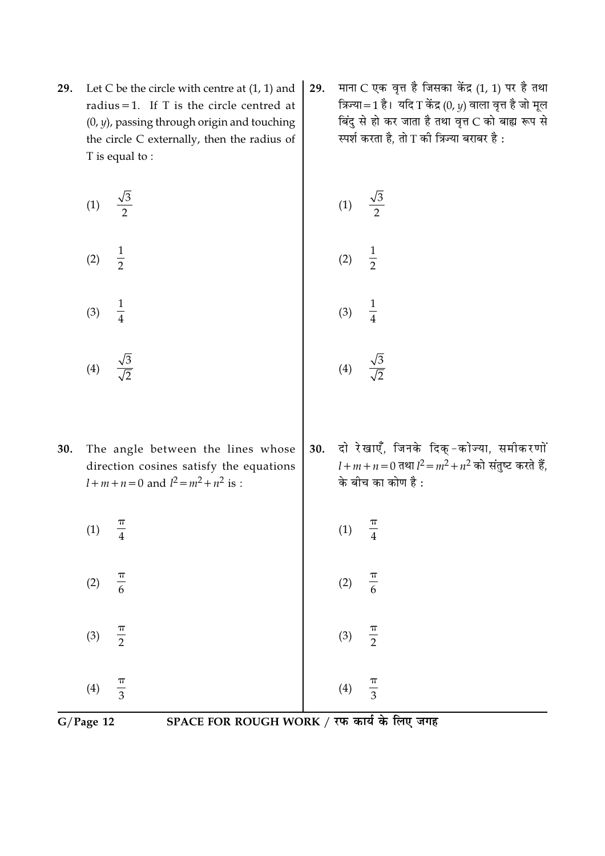29. Let C be the circle with centre at  $(1, 1)$  and radius = 1. If  $T$  is the circle centred at  $(0, y)$ , passing through origin and touching the circle C externally, then the radius of T is equal to:

| (1) | $\sqrt{3}$<br>2 |  |
|-----|-----------------|--|
|     |                 |  |

 $\frac{1}{2}$  $\frac{1}{4}$ 

 $(2)$ 

 $(3)$ 

- $\frac{\sqrt{3}}{\sqrt{2}}$  $(4)$
- 30. The angle between the lines whose direction cosines satisfy the equations  $l+m+n=0$  and  $l^2 = m^2 + n^2$  is :
	- $\frac{\pi}{4}$  $(1)$

 $\frac{\pi}{6}$ 

 $\frac{\pi}{3}$ 

 $\frac{\pi}{2}$  $(3)$ 

 $(2)$ 

 $(4)$ 

माना C एक वृत्त है जिसका केंद्र (1, 1) पर है तथा 29. त्रिज्या=1 है। यदि T केंद्र (0,  $\nu$ ) वाला वृत्त है जो मूल बिंदु से हो कर जाता है तथा वृत्त C को बाह्य रूप से स्पर्श करता है, तो T की त्रिज्या बराबर है :

(1) 
$$
\frac{\sqrt{3}}{2}
$$
  
\n(2)  $\frac{1}{2}$   
\n(3)  $\frac{1}{4}$   
\n(4)  $\frac{\sqrt{3}}{\sqrt{2}}$ 

 $(4)$ 

दो रेखाएँ, जिनके दिक्-कोज्या, समीकरणों 30.  $l+m+n=0$  तथा  $l^2=m^2+n^2$  को संतुष्ट करते हैं, के बीच का कोण है :

$$
(1) \quad \frac{\pi}{4}
$$

- $\frac{\pi}{6}$  $(2)$
- $\frac{\pi}{2}$  $(3)$

 $(4)$ 

 $\frac{\pi}{3}$ 

 $G/Page$  12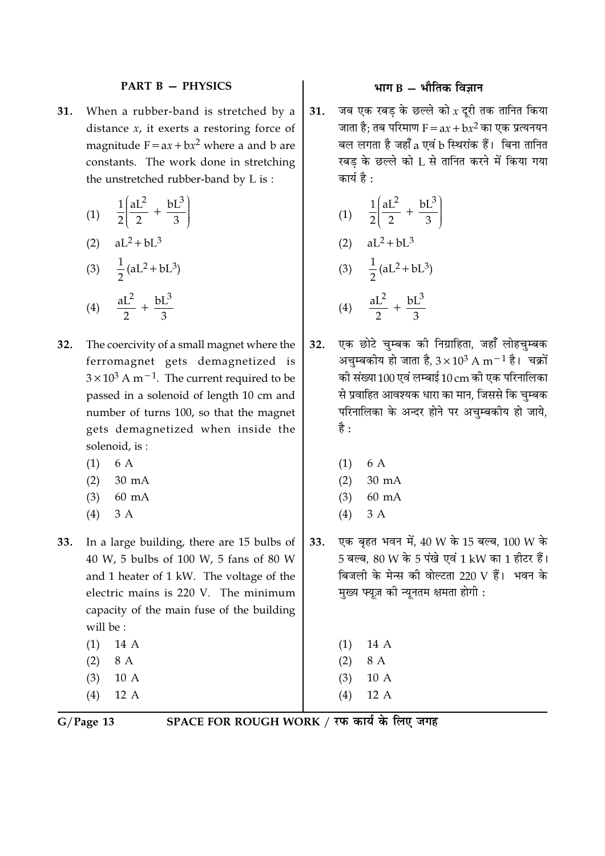#### **PART B - PHYSICS**

When a rubber-band is stretched by a 31. distance  $x$ , it exerts a restoring force of magnitude  $F = ax + bx^2$  where a and b are constants. The work done in stretching the unstretched rubber-band by L is:

$$
(1) \quad \frac{1}{2} \left( \frac{aL^2}{2} + \frac{bL^3}{3} \right)
$$

(2) 
$$
aL^2 + bL^3
$$
  
(3)  $\frac{1}{2}(aL^2 + bL^3)$ 

(4) 
$$
\frac{aL^2}{2} + \frac{bL^3}{3}
$$

- The coercivity of a small magnet where the  $32.$ ferromagnet gets demagnetized is  $3 \times 10^3$  A m<sup>-1</sup>. The current required to be passed in a solenoid of length 10 cm and number of turns 100, so that the magnet gets demagnetized when inside the solenoid, is:
	- 6 A  $(1)$
	- $(2)$  $30 \text{ mA}$
	- $(3)$  $60 \text{ mA}$
	- $3A$  $(4)$
- In a large building, there are 15 bulbs of 33. 40 W, 5 bulbs of 100 W, 5 fans of 80 W and 1 heater of 1 kW. The voltage of the electric mains is 220 V. The minimum capacity of the main fuse of the building will be:  $(1)$  $14A$ 
	- $(2)$ 8 A  $10A$  $(3)$
	- $(4)$ 12 A

# भाग  $B -$  भौतिक विज्ञान

जब एक रबड के छल्ले को  $x$  दुरी तक तानित किया 31. जाता है; तब परिमाण  $F = ax + bx^2$  का एक प्रत्यनयन बल लगता है जहाँ a एवं b स्थिरांक हैं। बिना तानित रबड के छल्ले को L से तानित करने में किया गया कार्य है :

(1) 
$$
\frac{1}{2} \left( \frac{aL^2}{2} + \frac{bL^3}{3} \right)
$$
  
\n(2)  $aL^2 + bL^3$   
\n(3)  $\frac{1}{2} (aL^2 + bL^3)$   
\n(4)  $\frac{aL^2}{2} + \frac{bL^3}{3}$ 

- एक छोटे चुम्बक को निग्राहिता, जहाँ लोहचुम्बक 32. अचम्बकीय हो जाता है,  $3 \times 10^3$  A m $^{-1}$  है। चक्रों की संख्या 100 एवं लम्बाई 10 cm की एक परिनालिका से प्रवाहित आवश्यक धारा का मान, जिससे कि चुम्बक परिनालिका के अन्दर होने पर अचुम्बकीय हो जाये, है :
	- 6 A  $(1)$
	- $(2)$ 30 mA
	- $60 \text{ mA}$  $(3)$
	- $3A$  $(4)$
- एक बृहत भवन में, 40 W के 15 बल्ब, 100 W के 33. 5 बल्ब. 80 W के 5 पंखे एवं 1 kW का 1 हीटर हैं। बिजली के मेन्स की वोल्टता 220 V हैं। भवन के मुख्य फ्यूज़ की न्यूनतम क्षमता होगी :
	- 14 A  $(1)$
	- $(2)$ 8 A
	- $10A$  $(3)$
	- 12 A  $(4)$
	-

 $G/Page$  13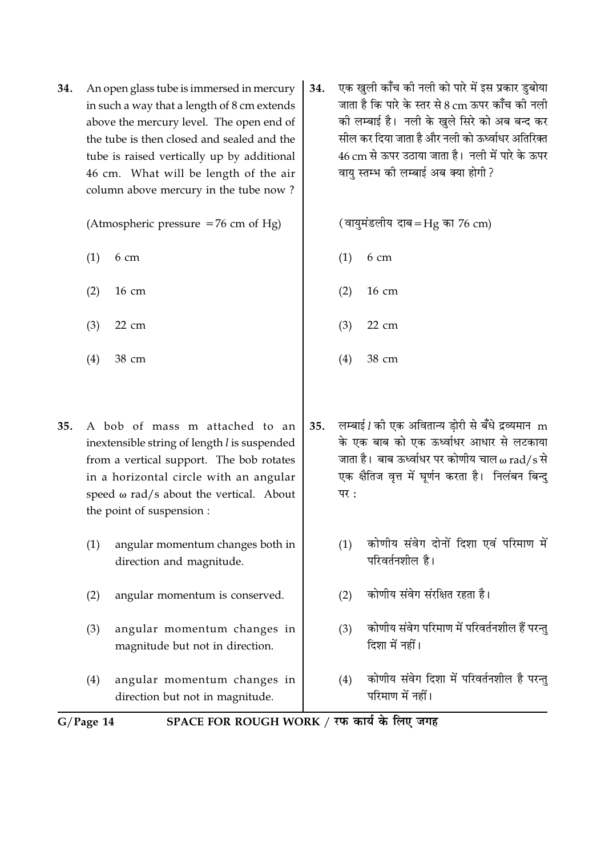34. An open glass tube is immersed in mercury in such a way that a length of 8 cm extends above the mercury level. The open end of the tube is then closed and sealed and the tube is raised vertically up by additional 46 cm. What will be length of the air column above mercury in the tube now?

(Atmospheric pressure  $=76$  cm of Hg)

- $(1)$  $6<sub>cm</sub>$
- $(2)$  $16 \text{ cm}$
- $(3)$ 22 cm
- $(4)$ 38 cm
- A bob of mass m attached to an  $35.$ inextensible string of length l is suspended from a vertical support. The bob rotates in a horizontal circle with an angular speed  $\omega$  rad/s about the vertical. About the point of suspension :
	- $(1)$ angular momentum changes both in direction and magnitude.
	- $(2)$ angular momentum is conserved.
	- $(3)$ angular momentum changes in magnitude but not in direction.
	- $(4)$ angular momentum changes in direction but not in magnitude.

एक खुली काँच की नली को पारे में इस प्रकार डुबोया 34. जाता है कि पारे के स्तर से 8 cm ऊपर कॉँच की नली की लम्बाई है। नली के खले सिरे को अब बन्द कर सील कर दिया जाता है और नली को ऊर्ध्वाधर अतिरिक्त 46 cm से ऊपर उठाया जाता है। नली में पारे के ऊपर वाय स्तम्भ की लम्बाई अब क्या होगी?

(वायुमंडलीय दाब=Hg का 76 cm)

- $6<sub>cm</sub>$  $(1)$
- 16 cm  $(2)$
- 22 cm  $(3)$
- $(4)$ 38 cm
- लम्बाई *l* की एक अवितान्य डोरी से बँधे द्रव्यमान m 35. के एक बाब को एक ऊर्ध्वाधर आधार से लटकाया जाता है। बाब ऊर्ध्वाधर पर कोणीय चाल  $\omega$  rad/s से एक क्षैतिज वृत्त में घूर्णन करता है। निलंबन बिन्दु पर $:$ 
	- कोणीय संवेग दोनों दिशा एवं परिमाण में  $(1)$ परिवर्तनशील है।
	- कोणीय संवेग संरक्षित रहता है।  $(2)$
	- कोणीय संवेग परिमाण में परिवर्तनशील हैं परन्त  $(3)$ दिशा में नहीं।
	- कोणीय संवेग दिशा में परिवर्तनशील है परन्तु  $(4)$ परिमाण में नहीं।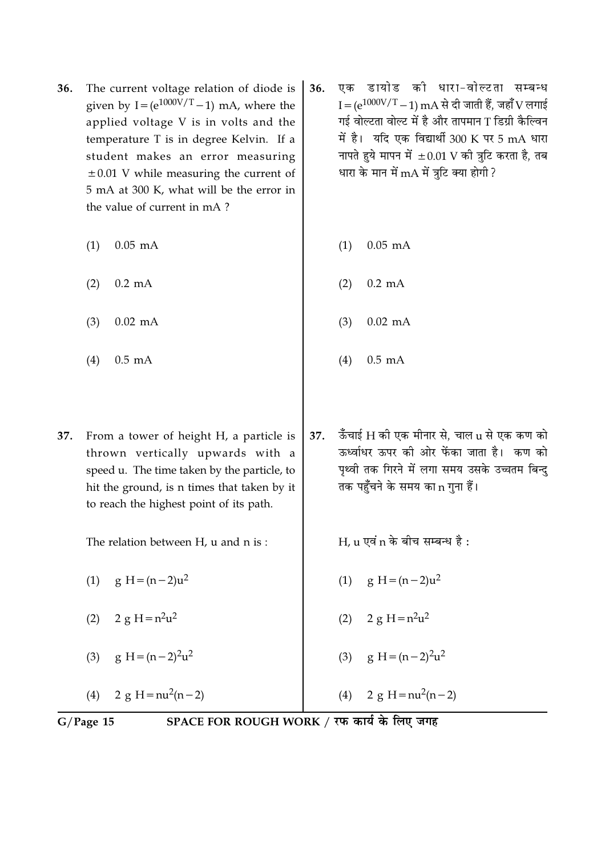- The current voltage relation of diode is 36. given by I= $(e^{1000V/T}-1)$  mA, where the applied voltage V is in volts and the temperature T is in degree Kelvin. If a student makes an error measuring  $\pm 0.01$  V while measuring the current of 5 mA at 300 K, what will be the error in the value of current in mA?
	- $0.05$  mA  $(1)$
	- $0.2 \text{ mA}$  $(2)$
	- $(3)$  $0.02$  mA
	- $(4)$  $0.5$  mA
- From a tower of height H, a particle is 37. thrown vertically upwards with a speed u. The time taken by the particle, to hit the ground, is n times that taken by it to reach the highest point of its path.

The relation between H, u and n is:

 $(1)$ g H =  $(n-2)u^2$ 

- (2)  $2 \text{ e } H = n^2 u^2$
- $g H = (n-2)^2 u^2$  $(3)$

2 g H =  $nu^2(n-2)$  $(4)$ 

- एक डायोड की धारा-वोल्टता सम्बन्ध 36.  $I = (e^{1000V/T} - 1)$  mA से दी जाती हैं, जहाँ V लगाई गई वोल्टता वोल्ट में है और तापमान T डिग्री कैल्विन में है। यदि एक विद्यार्थी 300 K पर 5 mA धारा नापते हुये मापन में  $\pm 0.01$  V की त्रुटि करता है, तब धारा के मान में mA में त्रटि क्या होगी ?
	- $0.05$  mA  $(1)$ 
		- $0.2 \text{ mA}$  $(2)$
		- $0.02$  mA  $(3)$
		- $(4)$  $0.5$  m $A$
- ऊँचाई H की एक मीनार से, चाल  $u$  से एक कण को 37. ऊर्ध्वाधर ऊपर की ओर फेंका जाता है। कण को पृथ्वी तक गिरने में लगा समय उसके उच्चतम बिन्दु तक पहुँचने के समय का n गुना हैं।

 $H_{11}$  एवं n के बीच सम्बन्ध है:

- (1)  $g H = (n-2)u^2$
- $(2)$  $2 \text{ g H} = n^2 u^2$
- $g H = (n-2)<sup>2</sup>u<sup>2</sup>$  $(3)$

2 g H =  $nu^2(n-2)$  $(4)$ 

 $G/Page$  15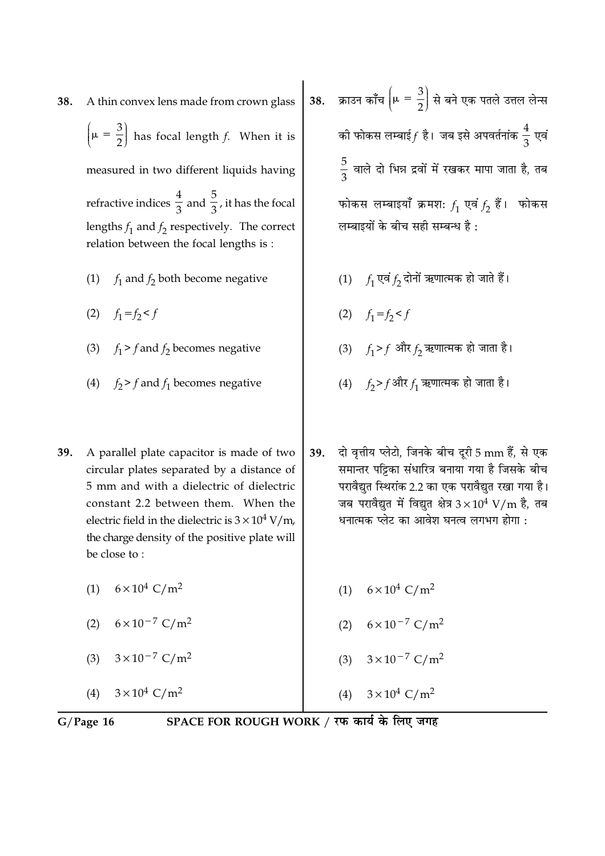A thin convex lens made from crown glass 38.  $\left(\mu = \frac{3}{2}\right)$  has focal length f. When it is measured in two different liquids having refractive indices  $\frac{4}{3}$  and  $\frac{5}{3}$ , it has the focal lengths  $f_1$  and  $f_2$  respectively. The correct relation between the focal lengths is:

- (1)  $f_1$  and  $f_2$  both become negative
- (2)  $f_1 = f_2 < f$
- (3)  $f_1 > f$  and  $f_2$  becomes negative
- (4)  $f_2 > f$  and  $f_1$  becomes negative
- 39. A parallel plate capacitor is made of two circular plates separated by a distance of 5 mm and with a dielectric of dielectric constant 2.2 between them. When the electric field in the dielectric is  $3 \times 10^4$  V/m, the charge density of the positive plate will be close to:
	- (1)  $6 \times 10^4$  C/m<sup>2</sup>
	- (2)  $6 \times 10^{-7}$  C/m<sup>2</sup>
	- (3)  $3 \times 10^{-7}$  C/m<sup>2</sup>
	- $3 \times 10^4$  C/m<sup>2</sup>  $(4)$
- 38. क्राउन काँच  $\left(\mu = \frac{3}{2}\right)$  से बने एक पतले उत्तल लेन्स की फोकस लम्बाई $f$  है। जब इसे अपवर्तनांक  $\frac{4}{3}$  एवं  $\frac{5}{3}$  वाले दो भिन्न द्रवों में रखकर मापा जाता है, तब फोकस लम्बाइयाँ क्रमशः  $f_1$  एवं  $f_2$  हैं। फोकस लम्बाइयों के बीच सही सम्बन्ध है:
	- (1)  $f_1$  एवं  $f_2$  दोनों ऋणात्मक हो जाते हैं।
	- (2)  $f_1 = f_2 < f$
	- (3)  $f_1 > f$  और  $f_2$  ऋणात्मक हो जाता है।
	- (4)  $f_2 > f$ और  $f_1$  ऋणात्मक हो जाता है।

दो वृत्तीय प्लेटो, जिनके बीच दूरी 5 mm हैं, से एक 39. समान्तर पट्टिका संधारित्र बनाया गया है जिसके बीच परावैद्युत स्थिरांक 2.2 का एक परावैद्युत रखा गया है। जब परावैद्युत में विद्युत क्षेत्र  $3 \times 10^4$  V/m है, तब धनात्मक प्लेट का आवेश घनत्व लगभग होगा :

- (1)  $6 \times 10^4$  C/m<sup>2</sup>
- (2)  $6 \times 10^{-7}$  C/m<sup>2</sup>
- (3)  $3 \times 10^{-7}$  C/m<sup>2</sup>
- (4)  $3 \times 10^4$  C/m<sup>2</sup>

 $G/Page$  16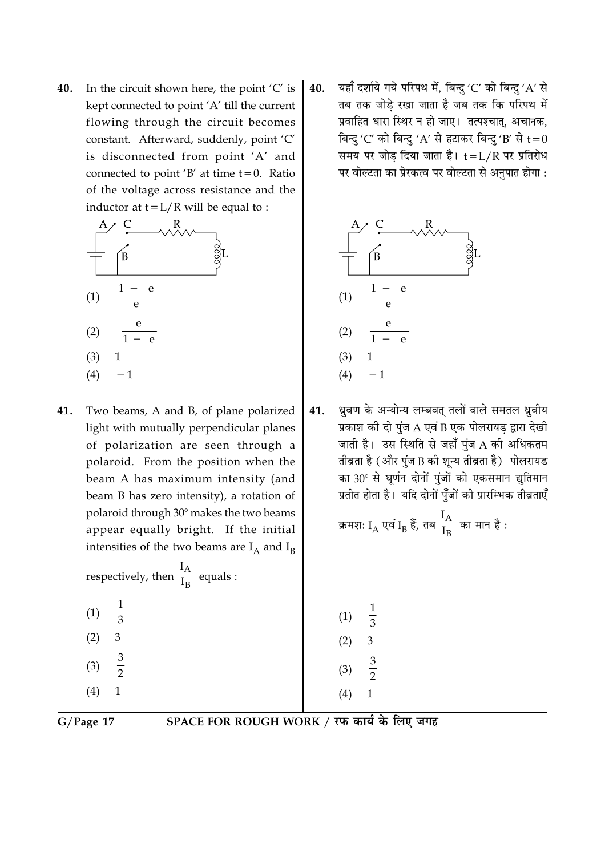In the circuit shown here, the point 'C' is 40. kept connected to point 'A' till the current flowing through the circuit becomes constant. Afterward, suddenly, point 'C' is disconnected from point 'A' and connected to point 'B' at time  $t = 0$ . Ratio of the voltage across resistance and the inductor at  $t = L/R$  will be equal to :



Two beams, A and B, of plane polarized 41. light with mutually perpendicular planes of polarization are seen through a polaroid. From the position when the beam A has maximum intensity (and beam B has zero intensity), a rotation of polaroid through 30° makes the two beams appear equally bright. If the initial intensities of the two beams are  $I_A$  and  $I_B$ 

respectively, then  $\frac{I_A}{I_B}$  equals :

 $\frac{1}{3}$  $(1)$  $\overline{3}$  $(2)$  $rac{3}{2}$  $(3)$  $\mathbf{1}$  $(4)$ 

यहाँ दर्शाये गये परिपथ में, बिन्दु 'C' को बिन्दु 'A' से 40. तब तक जोड़े रखा जाता है जब तक कि परिपथ में प्रवाहित धारा स्थिर न हो जाए। तत्पश्चात, अचानक, बिन्दु 'C' को बिन्दु 'A' से हटाकर बिन्दु 'B' से  $t=0$ समय पर जोड दिया जाता है। t=L/R पर प्रतिरोध पर वोल्टता का प्रेरकत्व पर वोल्टता से अनुपात होगा :



ध्रुवण के अन्योन्य लम्बवत् तलों वाले समतल ध्रुवीय 41. प्रकाश की दो पुंज A एवं B एक पोलरायड़ द्वारा देखी जाती है। उस स्थिति से जहाँ पुंज A की अधिकतम तीव्रता है (और पुंज B की शून्य तीव्रता है) पोलरायड का 30° से घूर्णन दोनों पुंजों को एकसमान द्युतिमान प्रतीत होता है। यदि दोनों पुँजों की प्रारम्भिक तीव्रताएँ

क्रमशः 
$$
I_A
$$
 एवं  $I_B$  हैं, तब  $\frac{I_A}{I_B}$  का मान है :

 $(1)$  $\frac{1}{3}$  $(2)$  $(3)$  $\overline{2}$  $(4)$  $\mathbf{1}$ 

 $G/Page$  17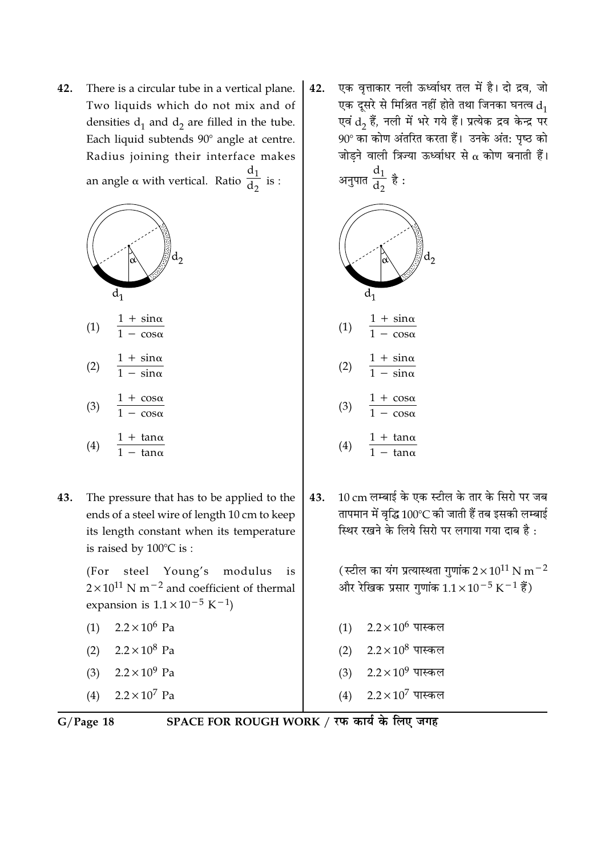42. There is a circular tube in a vertical plane. Two liquids which do not mix and of densities  $d_1$  and  $d_2$  are filled in the tube. Each liquid subtends 90° angle at centre. Radius joining their interface makes an angle  $\alpha$  with vertical. Ratio  $\frac{d_1}{d_2}$  is :





$$
(4) \quad \frac{1 + \tan \alpha}{1 - \tan \alpha}
$$

43. The pressure that has to be applied to the ends of a steel wire of length 10 cm to keep its length constant when its temperature is raised by 100°C is:

> steel Young's modulus  $(For$ is  $2 \times 10^{11}$  N m<sup>-2</sup> and coefficient of thermal expansion is  $1.1 \times 10^{-5}$  K<sup>-1</sup>)

- (1)  $2.2 \times 10^6$  Pa
- $2.2 \times 10^8$  Pa  $(2)$
- $2.2 \times 10^9$  Pa  $(3)$
- $(4)$  $2.2 \times 10^7$  Pa

एक वृत्ताकार नली ऊर्ध्वाधर तल में है। दो द्रव, जो 42. एक दूसरे से मिश्रित नहीं होते तथा जिनका घनत्व  $\mathrm{d}_1$ एवं d<sub>2</sub> हैं, नली में भरे गये हैं। प्रत्येक द्रव केन्द्र पर 90° का कोण अंतरित करता हैं। उनके अंत: पृष्ठ को जोडने वाली त्रिज्या ऊर्ध्वाधर से  $\alpha$  कोण बनाती हैं। अनुपात  $\frac{d_1}{d_2}$  है :



 $\frac{1 + \cos \alpha}{1 - \cos \alpha}$  $(3)$ 

$$
(4) \quad \frac{1 + \tan \alpha}{1 - \tan \alpha}
$$

10 cm लम्बाई के एक स्टील के तार के सिरो पर जब 43. तापमान में वृद्धि 100°C की जाती हैं तब इसकी लम्बाई स्थिर रखने के लिये सिरो पर लगाया गया दाब है:

> (स्टील का यंग प्रत्यास्थता गुणांक  $2 \times 10^{11}$  N m $^{-2}$ और रेखिक प्रसार गुणांक  $1.1 \times 10^{-5}$  K $^{-1}$  हैं)

- $(1)$  2.2 × 10<sup>6</sup> पास्कल
- (2)  $2.2 \times 10^8$  पास्कल
- $(3)$  2.2 × 10<sup>9</sup> पास्कल
- $2.2\times10^7$  पास्कल  $(4)$

 $G/Page$  18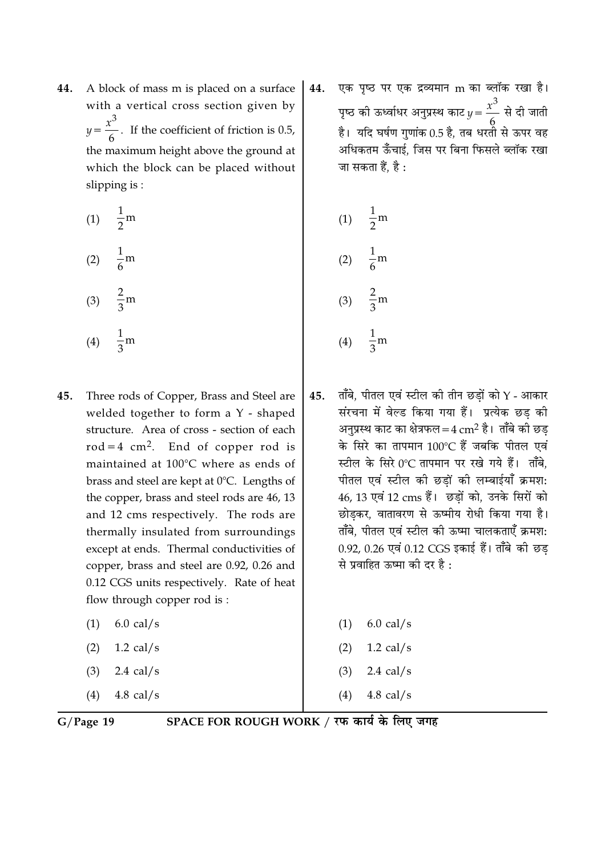A block of mass m is placed on a surface 44. with a vertical cross section given by  $y = \frac{x^3}{6}$ . If the coefficient of friction is 0.5, the maximum height above the ground at which the block can be placed without slipping is:

> $\frac{1}{2}$ m  $(1)$  $\frac{1}{6}$ m  $(2)$  $\frac{2}{3}$ m  $(3)$  $\frac{1}{2}$ m  $(4)$

- Three rods of Copper, Brass and Steel are 45. welded together to form a Y - shaped structure. Area of cross - section of each  $rod = 4 cm<sup>2</sup>$ . End of copper rod is maintained at 100°C where as ends of brass and steel are kept at 0°C. Lengths of the copper, brass and steel rods are 46, 13 and 12 cms respectively. The rods are thermally insulated from surroundings except at ends. Thermal conductivities of copper, brass and steel are 0.92, 0.26 and 0.12 CGS units respectively. Rate of heat flow through copper rod is:  $6.0$  cal/s  $(1)$ 
	- $(2)$  $1.2$  cal/s
	- 2.4 cal/s  $(3)$
	- $4.8$  cal/s  $(4)$

एक पृष्ठ पर एक द्रव्यमान m का ब्लॉक रखा है। 44. पृष्ठ की ऊर्ध्वाधर अनुप्रस्थ काट  $y = \frac{x^3}{6}$  से दी जाती है। यदि घर्षण गुणांक 0.5 है, तब धरतो से ऊपर वह अधिकतम ऊँँचाई, जिस पर बिना फिसले ब्लॉक रखा जा सकता हैं, है :

(1) 
$$
\frac{1}{2}
$$
m  
\n(2)  $\frac{1}{6}$ m  
\n(3)  $\frac{2}{3}$ m  
\n(4)  $\frac{1}{3}$ m

ताँबे, पीतल एवं स्टील की तीन छडों को  $\Upsilon$  - आकार 45. संरचना में वेल्ड किया गया हैं। प्रत्येक छड की अनुप्रस्थ काट का क्षेत्रफल=4  $\rm cm^2$  है। ताँबे की छड के सिरे का तापमान 100°C हैं जबकि पीतल एवं स्टील के सिरे 0°C तापमान पर रखे गये हैं। ताँबे. पीतल एवं स्टील की छडों की लम्बाईयाँ क्रमश: 46, 13 एवं 12 cms हैं। छड़ों को, उनके सिरों को छोडकर, वातावरण से ऊष्मीय रोधी किया गया है। ताँबे. पीतल एवं स्टील की ऊष्मा चालकताएँ क्रमश: 0.92, 0.26 एवं 0.12 CGS इकाई हैं। ताँबे की छड से प्रवाहित ऊष्मा की दर है :

| (1) | $6.0$ cal/s         |
|-----|---------------------|
| (2) | $1.2 \text{ cal/s}$ |
|     | $(3)$ 2.4 cal/s     |
|     | $(4)$ 4.8 cal/s     |

 $G/Page$  19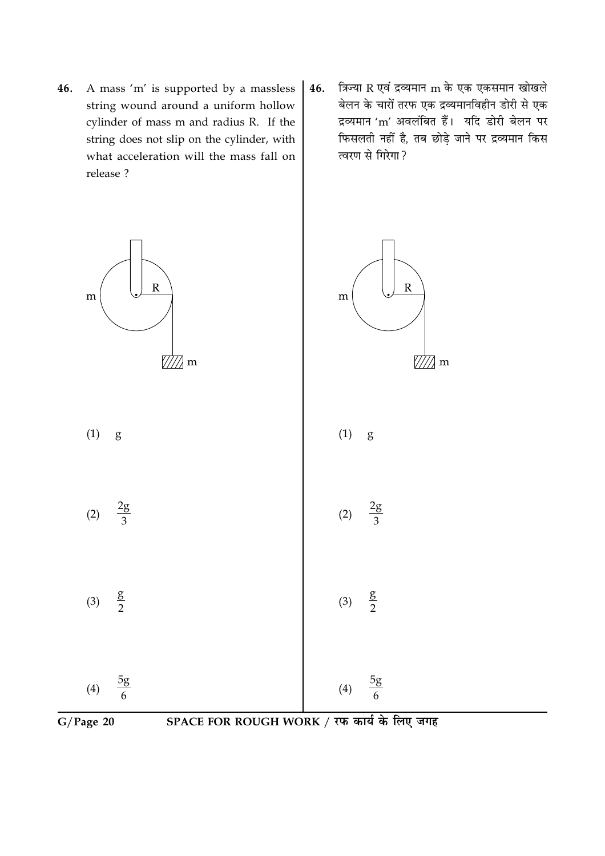- 46. A mass 'm' is supported by a massless string wound around a uniform hollow cylinder of mass m and radius R. If the string does not slip on the cylinder, with what acceleration will the mass fall on release ?
- त्रिज्या R एवं द्रव्यमान m के एक एकसमान खोखले 46. बेलन के चारों तरफ एक द्रव्यमानविहीन डोरी से एक द्रव्यमान 'm' अवलंबित हैं। यदि डोरी बेलन पर फिसलती नहीं है, तब छोड़े जाने पर द्रव्यमान किस त्वरण से गिरेगा ?

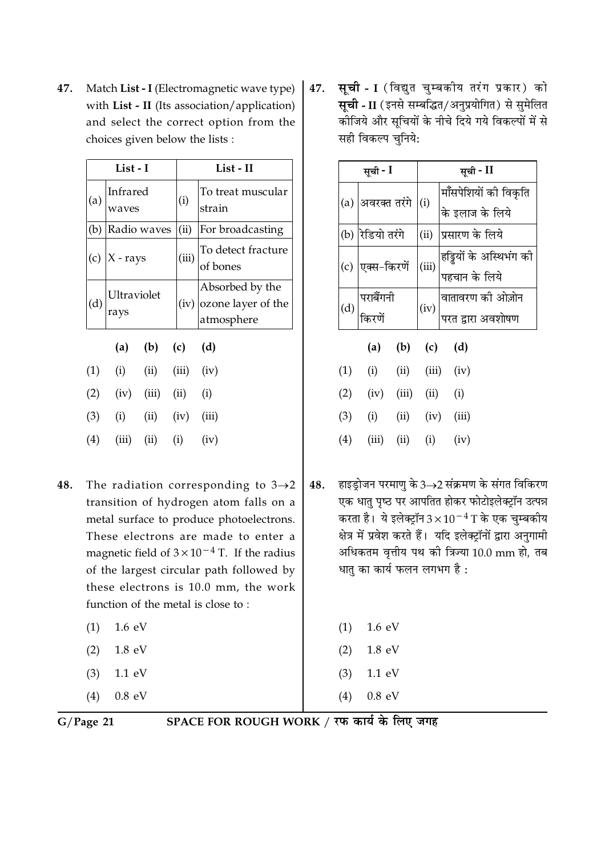Match List - I (Electromagnetic wave type) 47. with List - II (Its association/application) and select the correct option from the choices given below the lists :

| List - I |     |                     |                 | List - II |                                                     |                                |
|----------|-----|---------------------|-----------------|-----------|-----------------------------------------------------|--------------------------------|
|          | (a) | Infrared<br>waves   |                 |           | (i)                                                 | To treat muscular<br>strain    |
|          | (b) | Radio waves         |                 |           | (ii)                                                | For broadcasting               |
|          |     | (c) $ X - rays$     |                 |           | (iii)                                               | To detect fracture<br>of bones |
|          | (d) | Ultraviolet<br>rays |                 | (iv)      | Absorbed by the<br>ozone layer of the<br>atmosphere |                                |
|          |     |                     | (a) (b) (c) (d) |           |                                                     |                                |
|          | (1) | (i)                 | (ii)            |           | $(iii)$ $(iv)$                                      |                                |
|          | (2) | (iv)                | (iii)           |           | $(ii)$ $(i)$                                        |                                |
|          | (3) | (i)                 | $(ii)$ $(iv)$   |           |                                                     | (iii)                          |
|          | (4) | (iii)               | (ii)            |           | $(i)$ $(iv)$                                        |                                |

- The radiation corresponding to  $3\rightarrow 2$ 48. transition of hydrogen atom falls on a metal surface to produce photoelectrons. These electrons are made to enter a magnetic field of  $3 \times 10^{-4}$  T. If the radius of the largest circular path followed by these electrons is 10.0 mm, the work function of the metal is close to:
	- $1.6 \text{ eV}$  $(1)$
	- 1.8 eV  $(2)$
	- $1.1 \text{ eV}$  $(3)$
	- $0.8$  eV  $(4)$

**सूची - I** (विद्युत चुम्बकीय तरंग प्रकार) को 47. सूची - II (इनसे सम्बद्धित/अनुप्रयोगित) से सुमेलित कीजिये और सूचियों के नीचे दिये गये विकल्पों में से सही विकल्प चुनिये:

|     | सूची - I            | सूची - II |                                          |  |
|-----|---------------------|-----------|------------------------------------------|--|
| (a) | अवरक्त तरंगे (i)    |           | मॉंसपेशियों की विकृति<br>के इलाज के लिये |  |
| (b) | रेडियो तरंगे        | (ii)      | प्रसारण के लिये                          |  |
| (c) | एक्स-किरणें         | (iii)     | हड्डियों के अस्थिभंग की<br>पहचान के लिये |  |
| (d) | पराबैंगनी<br>किरणें | (iv)      | वातावरण की ओज़ोन<br>परत द्वारा अवशोषण    |  |

|     | (a)   | (b)   | (c)   | (d)   |
|-----|-------|-------|-------|-------|
| (1) | (i)   | (i)   | (iii) | (iv)  |
| (2) | (iv)  | (iii) | (ii)  | (i)   |
| (3) | (i)   | (ii)  | (iv)  | (iii) |
| (4) | (iii) | (ii)  | (i)   | (iv)  |

हाइड्रोजन परमाणु के 3→2 संक्रमण के संगत विकिरण 48. एक धातु पृष्ठ पर आपतित होकर फोटोइलेक्ट्रॉन उत्पन्न करता है। ये इलेक्ट्रॉन $3 \times 10^{-4}$  T के एक चुम्बकीय क्षेत्र में प्रवेश करते हैं। यदि इलेक्ट्रॉनों द्वारा अनुगामी अधिकतम वृत्तीय पथ की त्रिज्या 10.0 mm हो, तब धातु का कार्य फलन लगभग है:

| $(1)$ 1.6 eV |
|--------------|
| $(2)$ 1.8 eV |
| $(3)$ 1.1 eV |
| $(4)$ 0.8 eV |

 $G/Page$  21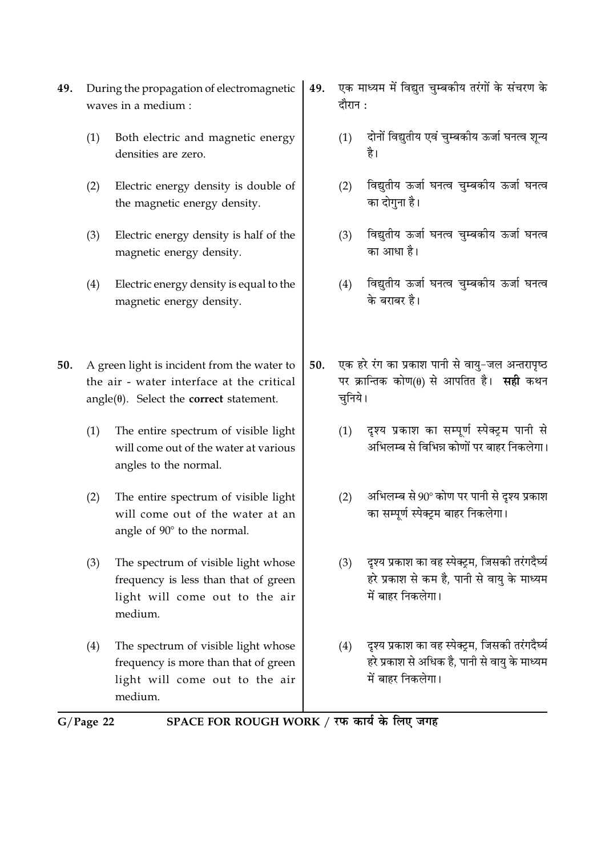- 49. During the propagation of electromagnetic waves in a medium :
	- Both electric and magnetic energy  $(1)$ densities are zero.
	- Electric energy density is double of  $(2)$ the magnetic energy density.
	- Electric energy density is half of the  $(3)$ magnetic energy density.
	- Electric energy density is equal to the  $(4)$ magnetic energy density.

A green light is incident from the water to 50. the air - water interface at the critical  $angle(\theta)$ . Select the **correct** statement.

- $(1)$ The entire spectrum of visible light will come out of the water at various angles to the normal.
- The entire spectrum of visible light  $(2)$ will come out of the water at an angle of 90° to the normal.
- The spectrum of visible light whose  $(3)$ frequency is less than that of green light will come out to the air medium.
- The spectrum of visible light whose  $(4)$ frequency is more than that of green light will come out to the air medium
- एक माध्यम में विद्युत चुम्बकीय तरंगों के संचरण के 49. दौरान :
	- दोनों विद्युतीय एवं चुम्बकीय ऊर्जा घनत्व शून्य  $(1)$ है।
	- विद्युतीय ऊर्जा घनत्व चुम्बकीय ऊर्जा घनत्व  $(2)$ का दोगना है।
	- विद्युतीय ऊर्जा घनत्व चुम्बकीय ऊर्जा घनत्व  $(3)$ का आधा है।
	- विद्युतीय ऊर्जा घनत्व चुम्बकीय ऊर्जा घनत्व  $(4)$ के बराबर है।
- एक हरे रंग का प्रकाश पानी से वाय-जल अन्तरापृष्ठ 50. पर क्रान्तिक कोण(θ) से आपतित है। सही कथन चुनिये।
	- दश्य प्रकाश का सम्पर्ण स्पेक्टम पानी से  $(1)$ अभिलम्ब से विभिन्न कोणों पर बाहर निकलेगा।
	- अभिलम्ब से 90° कोण पर पानी से दृश्य प्रकाश  $(2)$ का सम्पूर्ण स्पेक्ट्रम बाहर निकलेगा।
	- दश्य प्रकाश का वह स्पेक्टम. जिसकी तरंगदैर्घ्य  $(3)$ हरे प्रकाश से कम है, पानी से वायु के माध्यम में बाहर निकलेगा।
	- दृश्य प्रकाश का वह स्पेक्ट्रम, जिसकी तरंगदैर्घ्य  $(4)$ हरे प्रकाश से अधिक है. पानी से वाय के माध्यम में बाहर निकलेगा।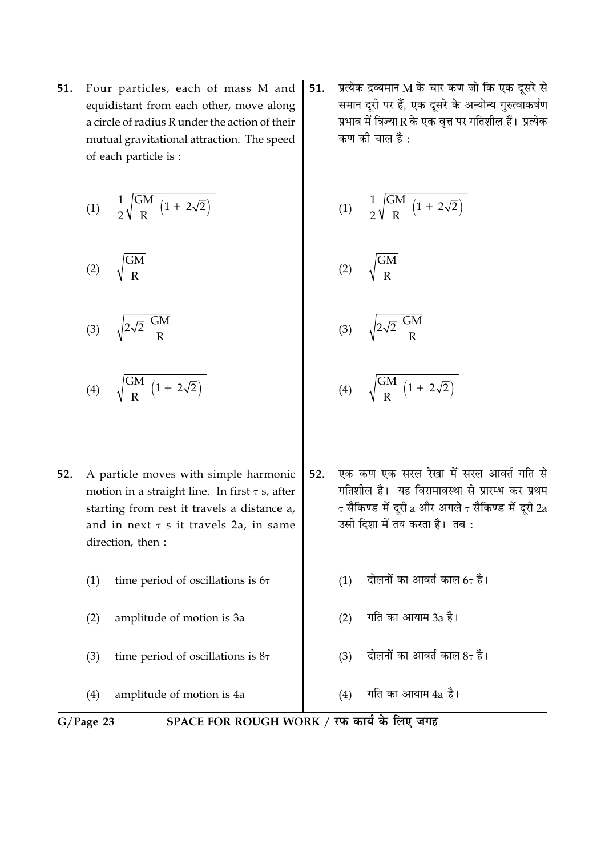Four particles, each of mass M and 51. equidistant from each other, move along a circle of radius R under the action of their mutual gravitational attraction. The speed of each particle is :

$$
(1) \quad \frac{1}{2}\sqrt{\frac{GM}{R}\,\left(1+\,2\sqrt{2}\right)}
$$

$$
(2) \qquad \sqrt{\frac{GM}{R}}
$$

$$
(3) \qquad \sqrt{2\sqrt{2} \frac{GM}{R}}
$$

$$
(4) \qquad \sqrt{\frac{GM}{R} \left(1 + 2\sqrt{2}\right)}
$$

- A particle moves with simple harmonic  $52.$ motion in a straight line. In first  $\tau$  s, after starting from rest it travels a distance a, and in next  $\tau$  s it travels 2a, in same direction, then :
	- time period of oscillations is 67  $(1)$
	- amplitude of motion is 3a  $(2)$
	- time period of oscillations is  $8\tau$  $(3)$

 $(4)$ amplitude of motion is 4a

प्रत्येक द्रव्यमान $\bf{M}$  के चार कण जो कि एक दूसरे से 51. समान दूरी पर हैं, एक दूसरे के अन्योन्य गुरुत्वाकर्षण प्रभाव में त्रिज्या R के एक वत्त पर गतिशील हैं। प्रत्येक कण की चाल है :

$$
(1) \quad \frac{1}{2}\sqrt{\frac{GM}{R}\,\left(1+\,2\sqrt{2}\right)}
$$

$$
(2) \qquad \sqrt{\frac{GM}{R}}
$$

$$
(3) \qquad \sqrt{2\sqrt{2} \frac{GM}{R}}
$$

- $\frac{\text{GM}}{\text{P}}\left(1+2\sqrt{2}\right)$  $(4)$
- एक कण एक सरल रेखा में सरल आवर्त गति से  $52.$ गतिशील है। यह विरामावस्था से प्रारम्भ कर प्रथम  $\tau$  सैकिण्ड में दूरी a और अगले  $\tau$  सैकिण्ड में दूरी 2a उसी दिशा में तय करता है। तब:
	- दोलनों का आवर्त काल  $6\tau$  है।  $(1)$
	- गति का आयाम 3a है।  $(2)$
	- दोलनों का आवर्त काल  $8\tau$  है।  $(3)$

गति का आयाम 4a है।  $(4)$ 

 $G/Page$  23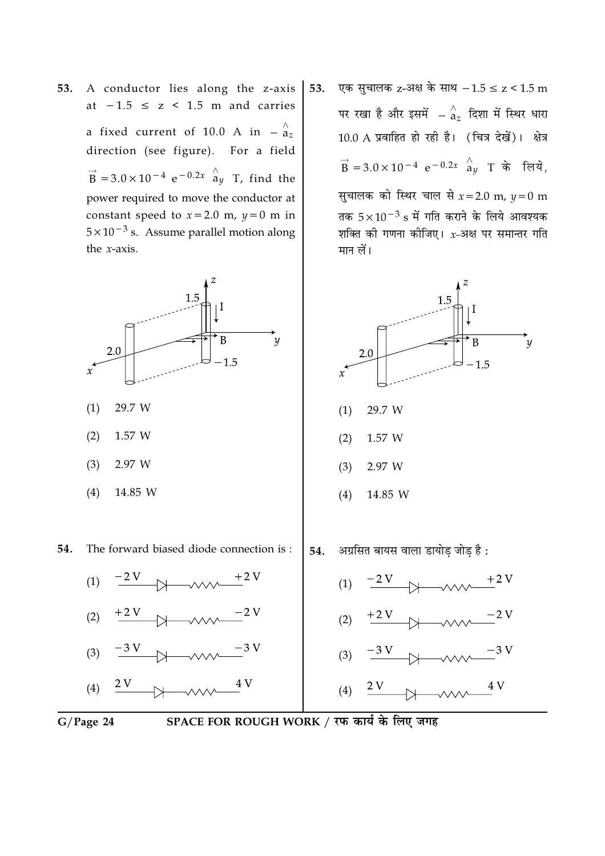A conductor lies along the z-axis 53. at  $-1.5 \le z \le 1.5$  m and carries a fixed current of 10.0 A in  $-\frac{\lambda}{a_z}$ direction (see figure). For a field  $\vec{B}$  = 3.0 × 10<sup>-4</sup> e<sup>-0.2x</sup>  $\hat{a}_y$  T, find the power required to move the conductor at constant speed to  $x = 2.0$  m,  $y = 0$  m in  $5 \times 10^{-3}$  s. Assume parallel motion along the  $x$ -axis.



14.85 W  $(4)$ 

54. The forward biased diode connection is:



- (2)  $+2V$
- $-3V$  $(3)$  $4V$
- $\frac{2 V}{2}$  $(4)$

एक सूचालक z-अक्ष के साथ  $-1.5 \le z < 1.5$  m 53. पर रखा है और इसमें  $-\mathop{^\wedge}\limits^{\wedge}_{a_\tau}$  दिशा में स्थिर धारा 10.0 A प्रवाहित हो रही है। (चित्र देखें)। क्षेत्र  $\vec{B} = 3.0 \times 10^{-4} e^{-0.2x}$   $\hat{a}_{\nu}$  T के लिये. सुचालक को स्थिर चाल से  $x = 2.0$  m,  $y = 0$  m तक  $5 \times 10^{-3}$  s में गति कराने के लिये आवश्यक शक्ति की गणना कीजिए।  $x$ -अक्ष पर समान्तर गति मान लें।





 $G/Page 24$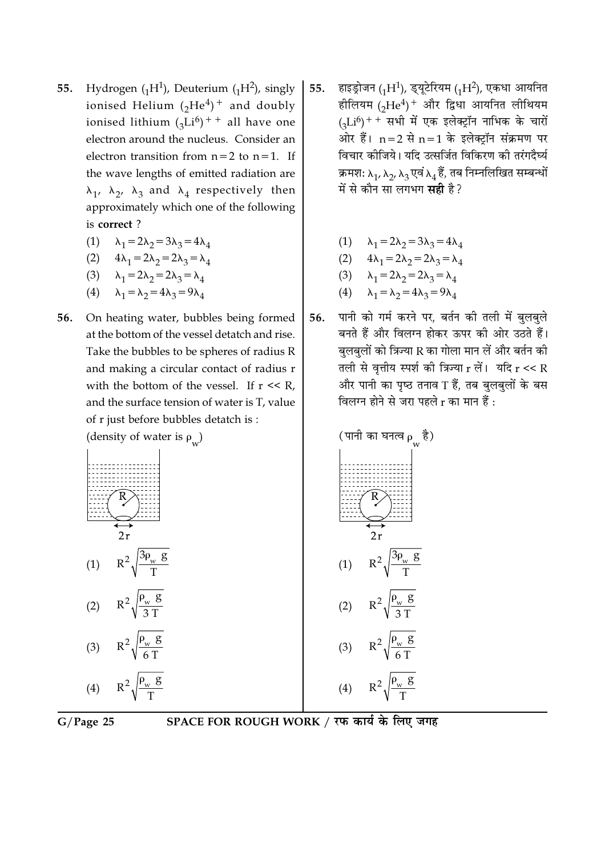- Hydrogen  $({}_{1}H^{1})$ , Deuterium  $({}_{1}H^{2})$ , singly 55. ionised Helium  $({}_2He^4)^+$  and doubly ionised lithium  $({}_{3}Li^{6})$ <sup>++</sup> all have one electron around the nucleus. Consider an electron transition from  $n=2$  to  $n=1$ . If the wave lengths of emitted radiation are  $\lambda_1$ ,  $\lambda_2$ ,  $\lambda_3$  and  $\lambda_4$  respectively then approximately which one of the following is correct?
	- (1)  $\lambda_1 = 2\lambda_2 = 3\lambda_3 = 4\lambda_4$
	- (2)  $4\lambda_1 = 2\lambda_2 = 2\lambda_3 = \lambda_4$
	- (3)  $\lambda_1 = 2\lambda_2 = 2\lambda_3 = \lambda_4$
	- (4)  $\lambda_1 = \lambda_2 = 4\lambda_3 = 9\lambda_4$
- On heating water, bubbles being formed 56. at the bottom of the vessel detatch and rise. Take the bubbles to be spheres of radius R and making a circular contact of radius r with the bottom of the vessel. If  $r \ll R$ , and the surface tension of water is T, value of r just before bubbles detatch is:
	- (density of water is  $\rho$ <sub>11</sub>)  $2r$  $R^2 \sqrt{\frac{3\rho_w g}{T}}$  $(1)$  $R^2\sqrt{\frac{\rho_w g}{2\pi}}$  $(2)$  $R^2\sqrt{\frac{\rho_w g}{6T}}$  $(3)$



- हाइड्रोजन (1H<sup>1</sup>), इयूटेरियम (1H<sup>2</sup>), एकधा आयनित 55. हीलियम (2He<sup>4</sup>)<sup>+</sup> और द्विधा आयनित लीथियम  $_{(4}Li^{6})$ ++ सभी में एक इलेक्ट्रॉन नाभिक के चारों ओर हैं।  $n=2$  से  $n=1$  के इलेक्ट्रॉन संक्रमण पर विचार कोजिये। यदि उत्सर्जित विकिरण की तरंगदैर्घ्य क्रमश:  $\lambda_1$ ,  $\lambda_2$ ,  $\lambda_3$  एवं  $\lambda_4$  हैं, तब निम्नलिखित सम्बन्धों में से कौन सा लगभग **सही** है?
	- $\lambda_1 = 2\lambda_2 = 3\lambda_3 = 4\lambda_4$

(2) 
$$
4\lambda_1 = 2\lambda_2 = 2\lambda_3 = \lambda_4
$$

$$
\lambda_1 = 2\lambda_2 = 2\lambda_3 = \lambda_4
$$

$$
(4) \qquad \lambda_1 = \lambda_2 = 4\lambda_3 = 9\lambda_4
$$

पानी को गर्म करने पर, बर्तन की तली में बुलबुले 56. बनते हैं और विलग्न होकर ऊपर की ओर उठते हैं। बलबलों को त्रिज्या R का गोला मान लें और बर्तन की तली से वृत्तीय स्पर्श की त्रिज्या  $r$  लें। यदि  $r << R$ और पानी का पृष्ठ तनाव T हैं, तब बलबलों के बस विलग्न होने से जरा पहले r का मान हैं :



SPACE FOR ROUGH WORK / रफ कार्य के लिए जगह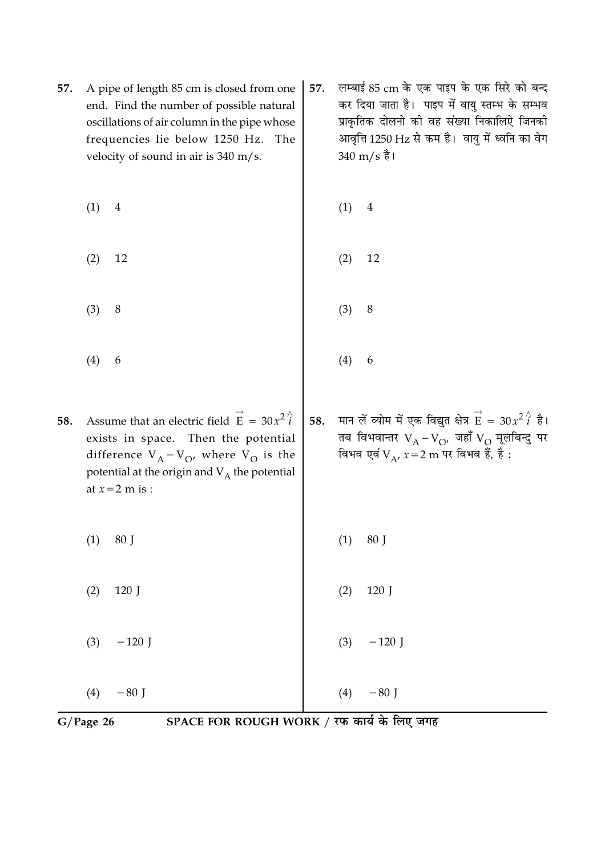| 57. | A pipe of length 85 cm is closed from one<br>end. Find the number of possible natural<br>oscillations of air column in the pipe whose<br>frequencies lie below 1250 Hz.<br>The                                                          | 57. | लम्बाई 85 cm के एक पाइप के एक सिरे को बन्द<br>कर दिया जाता है। पाइप में वायु स्तम्भ के सम्भव<br>प्राकृतिक दोलनो की वह संख्या निकालिऐ जिनकी<br>आवृत्ति 1250 Hz से कम है। वायु में ध्वनि का वेग |  |  |
|-----|-----------------------------------------------------------------------------------------------------------------------------------------------------------------------------------------------------------------------------------------|-----|-----------------------------------------------------------------------------------------------------------------------------------------------------------------------------------------------|--|--|
|     | velocity of sound in air is $340 \text{ m/s}$ .                                                                                                                                                                                         |     | $340 \text{ m/s}$ है।                                                                                                                                                                         |  |  |
|     | (1)<br>$\overline{4}$                                                                                                                                                                                                                   |     | (1)<br>$\overline{4}$                                                                                                                                                                         |  |  |
|     | (2)<br>12                                                                                                                                                                                                                               |     | 12<br>(2)                                                                                                                                                                                     |  |  |
|     | $\,8\,$<br>(3)                                                                                                                                                                                                                          |     | $\,8\,$<br>(3)                                                                                                                                                                                |  |  |
|     | (4)<br>6                                                                                                                                                                                                                                |     | (4)<br>6                                                                                                                                                                                      |  |  |
| 58. | Assume that an electric field $\vec{E} = 30x^2 \hat{i}$<br>exists in space. Then the potential<br>difference $V_A - V_O$ , where $V_O$ is the<br>potential at the origin and $\mathbf{V}_{\mathrm{A}}$ the potential<br>at $x=2$ m is : | 58. | मान लें व्योम में एक विद्युत क्षेत्र $\overrightarrow{E} = 30x^2 \hat{i}$ है।<br>तब विभवान्तर $V_A - V_O$ , जहाँ $V_O$ मूलबिन्दु पर<br>विभव एवं V v x = 2 m पर विभव हैं, है :                 |  |  |
|     | 80 J<br>(1)                                                                                                                                                                                                                             |     | 80 J<br>(1)                                                                                                                                                                                   |  |  |
|     | (2)<br>120 J                                                                                                                                                                                                                            |     | 120 J<br>(2)                                                                                                                                                                                  |  |  |
|     | (3)<br>$-120$ J                                                                                                                                                                                                                         |     | (3)<br>$-120$ J                                                                                                                                                                               |  |  |
|     | (4)<br>$-80$ J                                                                                                                                                                                                                          |     | $-80$ J<br>(4)                                                                                                                                                                                |  |  |
|     | SPACE FOR ROUGH WORK / रफ कार्य के लिए जगह<br>$G/Page$ 26                                                                                                                                                                               |     |                                                                                                                                                                                               |  |  |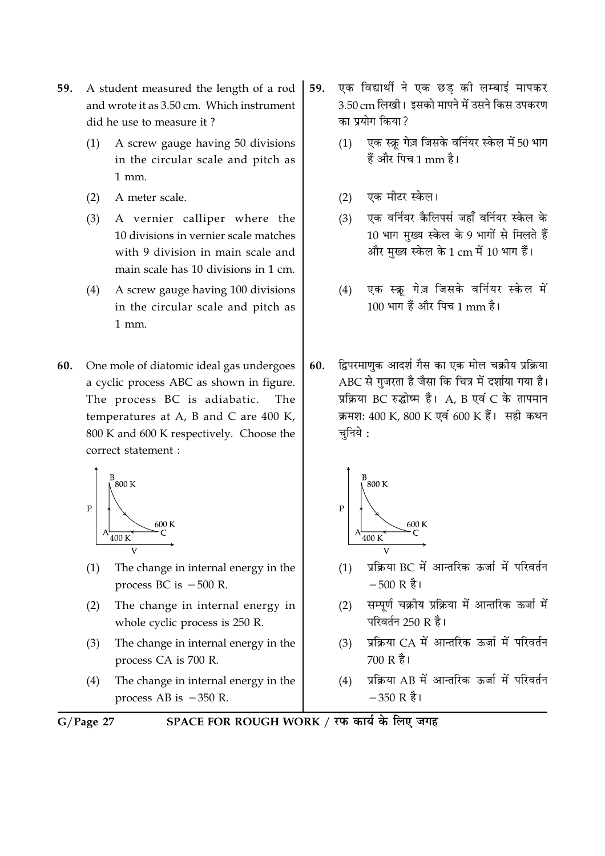- A student measured the length of a rod 59. and wrote it as 3.50 cm. Which instrument did he use to measure it?
	- A screw gauge having 50 divisions  $(1)$ in the circular scale and pitch as  $1$  mm.
	- A meter scale.  $(2)$
	- $(3)$ A vernier calliper where the 10 divisions in vernier scale matches with 9 division in main scale and main scale has 10 divisions in 1 cm.
	- $(4)$ A screw gauge having 100 divisions in the circular scale and pitch as  $1$  mm.
- 60. One mole of diatomic ideal gas undergoes a cyclic process ABC as shown in figure. The process BC is adiabatic. The temperatures at A, B and C are 400 K, 800 K and 600 K respectively. Choose the correct statement :



- $(1)$ The change in internal energy in the process BC is  $-500$  R.
- The change in internal energy in  $(2)$ whole cyclic process is 250 R.
- $(3)$ The change in internal energy in the process CA is 700 R.
- $(4)$ The change in internal energy in the process AB is  $-350$  R.
- $G/Page$  27
- SPACE FOR ROUGH WORK / रफ कार्य के लिए जगह
- एक विद्यार्थी ने एक छड की लम्बाई मापकर 59. 3.50 cm लिखी। इसको मापने में उसने किस उपकरण का पयोग किया ?
	- एक स्क्रू गेज़ जिसके वर्नियर स्केल में 50 भाग  $(1)$ हैं और पिच 1 mm है।
	- एक मीटर स्केल।  $(2)$
	- एक वर्नियर कैलिपर्स जहाँ वर्नियर स्केल के  $(3)$ 10 भाग मुख्य स्केल के 9 भागों से मिलते हैं और मुख्य स्केल के 1 cm में 10 भाग हैं।
	- एक स्क्रू गेज़ जिसके वर्नियर स्केल में  $(4)$ 100 भाग हैं और पिच 1 mm है।
- द्विपरमाणक आदर्श गैस का एक मोल चक्रीय प्रक्रिया 60. ABC से गुजरता है जैसा कि चित्र में दर्शाया गया है। प्रक्रिया BC रुद्धोष्म है। A, B एवं C के तापमान क्रमश: 400 K, 800 K एवं 600 K हैं। सही कथन चुनिये :



- प्रक्रिया BC में आन्तरिक ऊर्जा में परिवर्तन  $(1)$  $-500 \text{ R}$  है।
- सम्पर्ण चक्रीय प्रक्रिया में आन्तरिक ऊर्जा में  $(2)$ परिवर्तन 250 R है।
- प्रक्रिया CA में आन्तरिक ऊर्जा में परिवर्तन  $(3)$ 700 R है।
- प्रक्रिया AB में आन्तरिक ऊर्जा में परिवर्तन  $(4)$  $-350$  R है।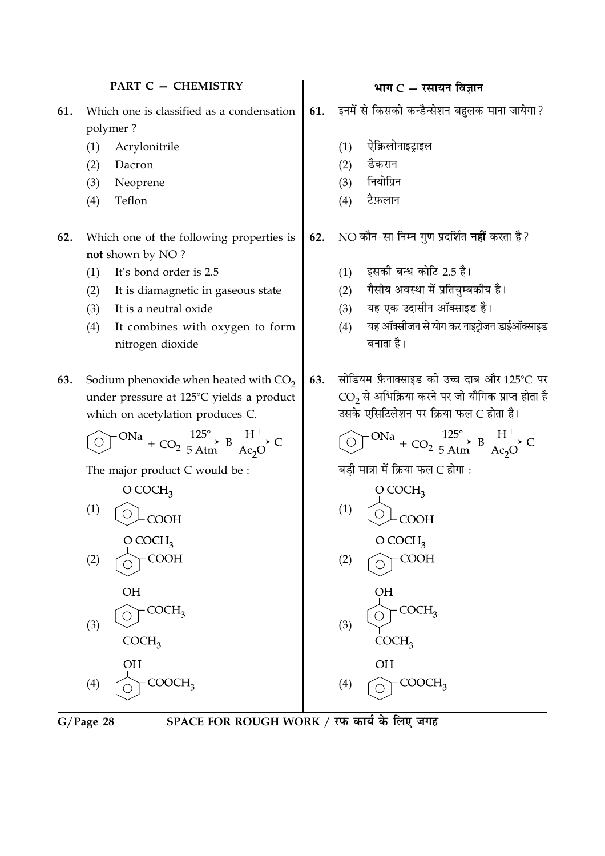#### NO कौन-सा निम्न गुण प्रदर्शित **नहीं** करता है ? Which one of the following properties is 62. not shown by NO? इसकी बन्ध कोटि 2.5 है।  $(1)$ It's bond order is 2.5  $(1)$ गैसीय अवस्था में प्रतिचम्बकीय है।  $(2)$  $(2)$ It is diamagnetic in gaseous state यह एक उदासीन ऑक्साइड है।  $(3)$ It is a neutral oxide  $(3)$ यह ऑक्सीजन से योग कर नाइट्रोजन डाईऑक्साइड  $(4)$ It combines with oxygen to form  $(4)$ बनाता है। nitrogen dioxide सोडियम फ़ैनाक्साइड की उच्च दाब और 125°C पर Sodium phenoxide when heated with  $CO<sub>2</sub>$ 63. 63. CO2 से अभिक्रिया करने पर जो यौगिक प्राप्त होता है under pressure at 125°C yields a product उसके एसिटिलेशन पर क्रिया फल C होता है। which on acetylation produces C. ONa + CO<sub>2</sub>  $\frac{125^{\circ}}{5 \text{ A} \text{tm}}$  B  $\frac{H^+}{Ac_2O}$  C ONa + CO<sub>2</sub>  $\frac{125^{\circ}}{5 \text{ A} \text{tm}}$  B  $\frac{H^+}{A c_2 O}$  C बडी मात्रा में क्रिया फल C होगा : The major product C would be :  $O$  COCH<sub>2</sub>  $O$  COCH<sub>3</sub>  $(1)$  $(1)$ COOH **COOH** O COCH<sub>2</sub>  $O$  COCH<sub>3</sub> **COOH COOH**  $(2)$  $(2)$  $COCH<sub>2</sub>$  $COCH<sub>2</sub>$  $(3)$  $(3)$ COCH<sub>3</sub>  $COCH<sub>3</sub>$ ΟH **OH**  $COOCH<sub>2</sub>$  $COOCH<sub>3</sub>$  $(4)$  $(4)$

61.

 $(1)$  $(2)$ 

 $(3)$ 

 $(4)$ 

भाग $C - \bar{x}$ सायन विज्ञान

ऐक्रिलोनाइट्राइल

डैकरान

नियोप्रिन

टैफ़लान

इनमें से किसको कन्डैन्सेशन बहुलक माना जायेगा?

**PART C - CHEMISTRY** 

61.

62.

polymer?

Acrylonitrile

Dacron

Teflon

Neoprene

 $(1)$ 

 $(2)$ 

 $(3)$ 

 $(4)$ 

Which one is classified as a condensation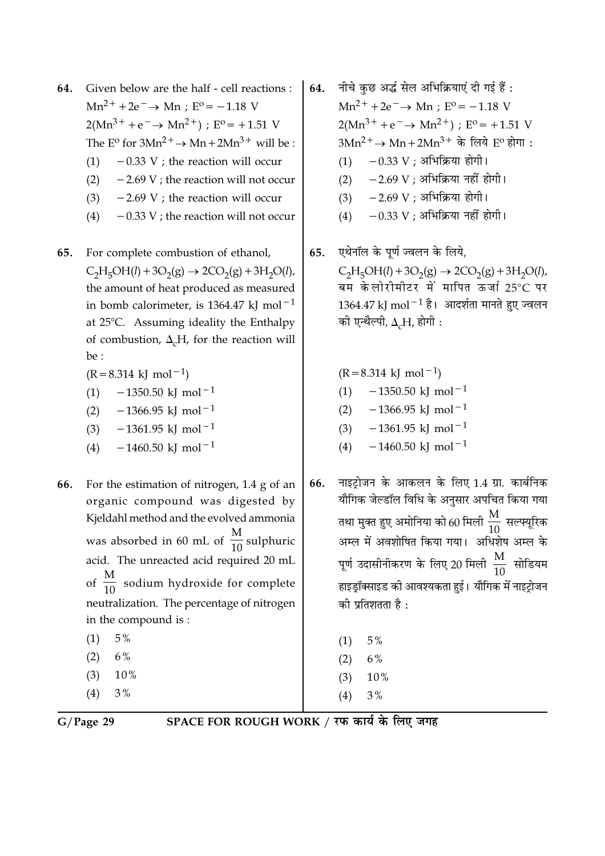- Given below are the half cell reactions : 64.  $Mn^{2+} + 2e^- \rightarrow Mn : E^0 = -1.18$  V  $2(Mn^{3+} + e^- \rightarrow Mn^{2+})$ ; E<sup>o</sup> = +1.51 V The E<sup>o</sup> for  $3Mn^2$ <sup>+</sup>  $\rightarrow$  Mn +  $2Mn^3$ <sup>+</sup> will be :  $-0.33$  V ; the reaction will occur  $(1)$ 
	- $-2.69$  V ; the reaction will not occur  $(2)$
	- $-2.69$  V ; the reaction will occur  $(3)$
	- $-0.33$  V; the reaction will not occur  $(4)$
- 65. For complete combustion of ethanol,  $C_2H_5OH(l) + 3O_2(g) \rightarrow 2CO_2(g) + 3H_2O(l)$ , the amount of heat produced as measured in bomb calorimeter, is 1364.47 kJ mol<sup>-1</sup> at 25°C. Assuming ideality the Enthalpy of combustion,  $\Delta_c H$ , for the reaction will  $be:$ 
	- $(R = 8.314 \text{ kJ} \text{ mol}^{-1})$
	- $-1350.50$  kJ mol<sup>-1</sup>  $(1)$
	- $-1366.95$  kJ mol<sup>-1</sup>  $(2)$
	- $-1361.95$  kJ mol<sup>-1</sup>  $(3)$
	- $-1460.50$  kJ mol<sup>-1</sup>  $(4)$
- 66. For the estimation of nitrogen,  $1.4$  g of an organic compound was digested by Kjeldahl method and the evolved ammonia was absorbed in 60 mL of  $\frac{M}{10}$  sulphuric acid. The unreacted acid required 20 mL of  $\frac{M}{10}$  sodium hydroxide for complete neutralization. The percentage of nitrogen in the compound is:  $(1)$ 5%  $(2)$  $6%$ 
	- $(3)$  $10%$
	- $(4)$  $3%$
- नीचे कुछ अर्द्ध सेल अभिक्रियाएं दी गई हैं : 64.  $Mn^{2+} + 2e^- \rightarrow Mn : E^0 = -1.18$  V  $2(Mn^{3+} + e^- \rightarrow Mn^{2+})$ ;  $E^0 = +1.51$  V  $3Mn^{2+}$  →  $Mn+2Mn^{3+}$  के लिये  $E^{\rm o}$  होगा :  $-0.33$  V ; अभिक्रिया होगी।  $(1)$  $-2.69$  V : अभिक्रिया नहीं होगी।  $(2)$ 
	- $-2.69$  V ; अभिक्रिया होगी।  $(3)$
	- $-0.33$  V ; अभिक्रिया नहीं होगी।  $(4)$
- एथेनॉल के पूर्ण ज्वलन के लिये, 65.  $C_2H_5OH(l) + 3O_2(g) \rightarrow 2CO_2(g) + 3H_2O(l)$ , बम केलोरीमीटर में मापित ऊर्जा 25°C पर  $1364.47$  kJ mol $^{-1}$  है। आदर्शता मानते हुए ज्वलन की एन्थैल्पी,  $\Delta_{c}H$ , होगी :

 $(R = 8.314 \text{ kJ} \text{ mol}^{-1})$  $-1350.50$  kJ mol<sup>-1</sup>  $(1)$  $-1366.95$  kJ mol<sup>-1</sup>  $(2)$  $-1361.95$  kJ mol<sup>-1</sup>  $(3)$ 

- $-1460.50$  kJ mol<sup>-1</sup>  $(4)$
- नाइट़ोजन के आकलन के लिए 1.4 ग्रा. कार्बनिक 66. यौगिक जेल्डॉल विधि के अनुसार अपचित किया गया तथा मुक्त हुए अमोनिया को 60 मिली  $\frac{\rm M}{10}$  सल्फ्यूरिक अम्ल में अवशोषित किया गया। अधिशेष अम्ल के पूर्ण उदासीनीकरण के लिए 20 मिली  $\frac{\rm M}{\rm 10}$  सोडियम हाइड़ॉक्साइड की आवश्यकता हुई। यौगिक में नाइट़ोजन की प्रतिशतता है :
	- $(1)$  $5\%$
	- 6%  $(2)$
	- $(3)$ 10%
	- $3%$  $(4)$
	-

 $G/Page$  29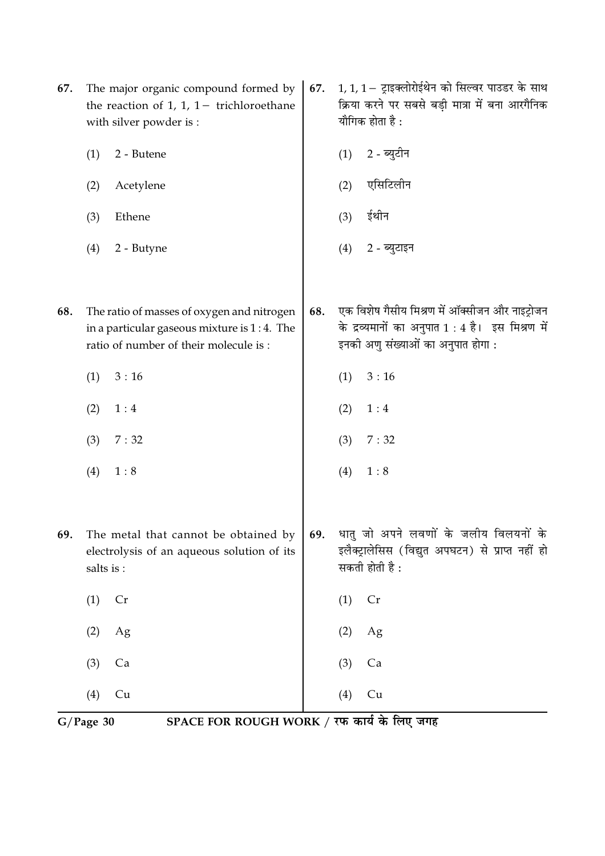|     |                                                                                                               | SPACE FOR ROUGH WORK / रफ कार्य के लिए जगह<br>$G/Page$ 30                                                                             |     |     |                                                                                                                                          |  |
|-----|---------------------------------------------------------------------------------------------------------------|---------------------------------------------------------------------------------------------------------------------------------------|-----|-----|------------------------------------------------------------------------------------------------------------------------------------------|--|
|     | (4)                                                                                                           | Cu                                                                                                                                    |     | (4) | Cu                                                                                                                                       |  |
|     | (3)                                                                                                           | Ca                                                                                                                                    |     | (3) | Ca                                                                                                                                       |  |
|     | (2)                                                                                                           | Ag                                                                                                                                    |     | (2) | Ag                                                                                                                                       |  |
|     | (1)                                                                                                           | Cr                                                                                                                                    |     | (1) | Cr                                                                                                                                       |  |
| 69. | salts is:                                                                                                     | The metal that cannot be obtained by<br>electrolysis of an aqueous solution of its                                                    | 69. |     | धातु जो अपने लवणों के जलीय विलयनों के<br>इलैक्ट्रालेसिस (विद्युत अपघटन) से प्राप्त नहीं हो<br>सकती होती है :                             |  |
|     | (4)                                                                                                           | 1:8                                                                                                                                   |     | (4) | 1:8                                                                                                                                      |  |
|     | (3)                                                                                                           | 7:32                                                                                                                                  |     | (3) | 7:32                                                                                                                                     |  |
|     | (2)                                                                                                           | 1:4                                                                                                                                   |     | (2) | $1:4$                                                                                                                                    |  |
|     | (1)                                                                                                           | 3:16                                                                                                                                  |     | (1) | 3:16                                                                                                                                     |  |
| 68. |                                                                                                               | The ratio of masses of oxygen and nitrogen<br>in a particular gaseous mixture is $1:4$ . The<br>ratio of number of their molecule is: | 68. |     | एक विशेष गैसीय मिश्रण में ऑक्सीजन और नाइट्रोजन<br>के द्रव्यमानों का अनुपात 1 : 4 है। इस मिश्रण में<br>इनकी अणु संख्याओं का अनुपात होगा : |  |
|     | (4)                                                                                                           | 2 - Butyne                                                                                                                            |     | (4) | 2 - ब्युटाइन                                                                                                                             |  |
|     | (3)                                                                                                           | Ethene                                                                                                                                |     | (3) | ईथीन                                                                                                                                     |  |
|     | (2)                                                                                                           | Acetylene                                                                                                                             |     | (2) | एसिटिलीन                                                                                                                                 |  |
|     | (1)                                                                                                           | 2 - Butene                                                                                                                            |     | (1) | 2 - ब्युटीन                                                                                                                              |  |
| 67. | The major organic compound formed by<br>the reaction of 1, 1, $1-$ trichloroethane<br>with silver powder is : |                                                                                                                                       | 67. |     | 1, 1, 1 – ट्राइक्लोरोईथेन को सिल्वर पाउडर के साथ<br>क्रिया करने पर सबसे बड़ी मात्रा में बना आरगैनिक<br>यौगिक होता है :                   |  |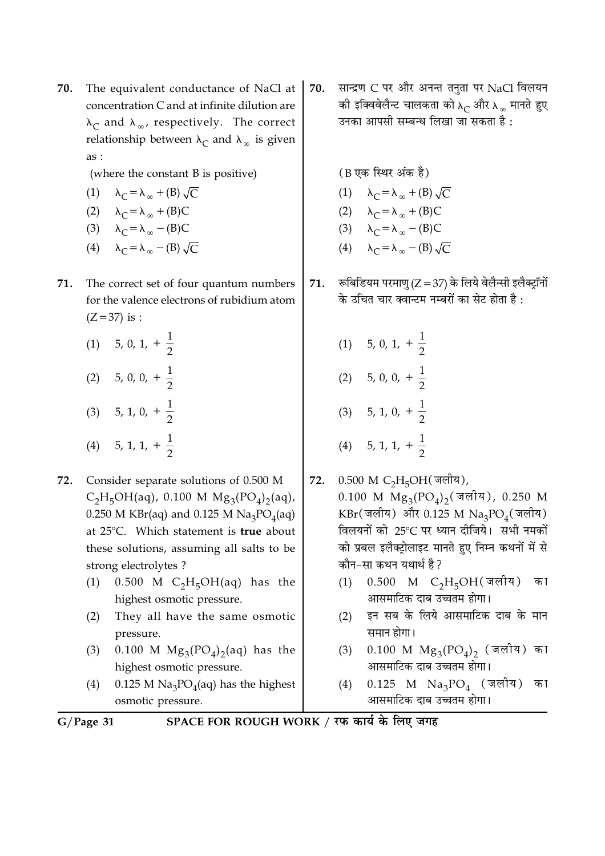- 70. The equivalent conductance of NaCl at concentration C and at infinite dilution are  $\lambda_C$  and  $\lambda_\infty$ , respectively. The correct relationship between  $\lambda_C$  and  $\lambda_{\infty}$  is given as:
	- (where the constant B is positive)

$$
(1) \qquad \lambda_C = \lambda_\infty + (B) \sqrt{C}
$$

- (2)  $\lambda_C = \lambda_\infty + (B)C$
- (3)  $\lambda_C = \lambda_{\infty} (B)C$
- (4)  $\lambda_C = \lambda_{\infty} (B) \sqrt{C}$
- 71. The correct set of four quantum numbers for the valence electrons of rubidium atom  $(Z = 37)$  is :
	- $(1)$  5, 0, 1, +  $\frac{1}{2}$ (2) 5, 0, 0,  $+\frac{1}{2}$ (3) 5, 1, 0,  $+\frac{1}{2}$ (4) 5, 1, 1,  $+\frac{1}{2}$
- 72. Consider separate solutions of 0.500 M  $C_2H_5OH(aq)$ , 0.100 M  $Mg_3(PO_4)_2(aq)$ , 0.250 M KBr(aq) and 0.125 M Na<sub>3</sub>PO<sub>4</sub>(aq) at 25°C. Which statement is true about these solutions, assuming all salts to be strong electrolytes?
	- $(1)$ 0.500 M  $C_2H_5OH(aq)$  has the highest osmotic pressure.
	- $(2)$ They all have the same osmotic pressure.
	- 0.100 M  $Mg_3(PO_4)_2(aq)$  has the  $(3)$ highest osmotic pressure.
	- 0.125 M  $\text{Na}_3\text{PO}_4$ (aq) has the highest  $(4)$ osmotic pressure.

सान्द्रण C पर और अनन्त तनुता पर NaCl विलयन 70. की इक्विवेलैन्ट चालकता को  $\lambda_C$  और  $\lambda_{\infty}$  मानते हुए उनका आपसी सम्बन्ध लिखा जा सकता है :

(B एक स्थिर अंक है)

- (1)  $\lambda_C = \lambda_\infty + (B) \sqrt{C}$
- (2)  $\lambda_C = \lambda_\infty + (B)C$ (3)  $\lambda_C = \lambda_{\infty} - (B)C$
- 
- (4)  $\lambda_C = \lambda_{\infty} (B) \sqrt{C}$
- रूबिडियम परमाणु (Z = 37) के लिये वेलैन्सी इलैक्ट्रॉनों 71. के उचित चार क्वान्टम नम्बरों का सेट होता है:
	- (1) 5, 0, 1,  $+\frac{1}{2}$ (2) 5, 0, 0,  $+\frac{1}{2}$ (3) 5, 1, 0,  $+\frac{1}{2}$ (4) 5, 1, 1,  $+\frac{1}{2}$
- 0.500 M C<sub>2</sub>H<sub>5</sub>OH(जलीय), 72. 0.100 M  $Mg_3(PO_4)_2$  (जलीय), 0.250 M  $KBr(\vec{q})$  और 0.125 M  $Na_3PO_4(\vec{q})$ विलयनों को 25℃ पर ध्यान दीजिये। सभी नमकों को प्रबल इलैक्ट्रोलाइट मानते हुए निम्न कथनों में से कौन-सा कथन यथार्थ है?
	- $0.500$  M C<sub>2</sub>H<sub>5</sub>OH(जलीय)  $(1)$ का आसमाटिक दाब उच्चतम होगा।
	- इन सब के लिये आसमाटिक दाब के मान  $(2)$ समान होगा।
	- $0.100$  M  $Mg_3(PO_4)_2$  (जलीय) का  $(3)$ आसमाटिक दाब उच्चतम होगा।
	- $0.125$  M Na<sub>3</sub>PO<sub>4</sub> (जलीय) का  $(4)$ आसमाटिक दाब उच्चतम होगा।

 $G/Page$  31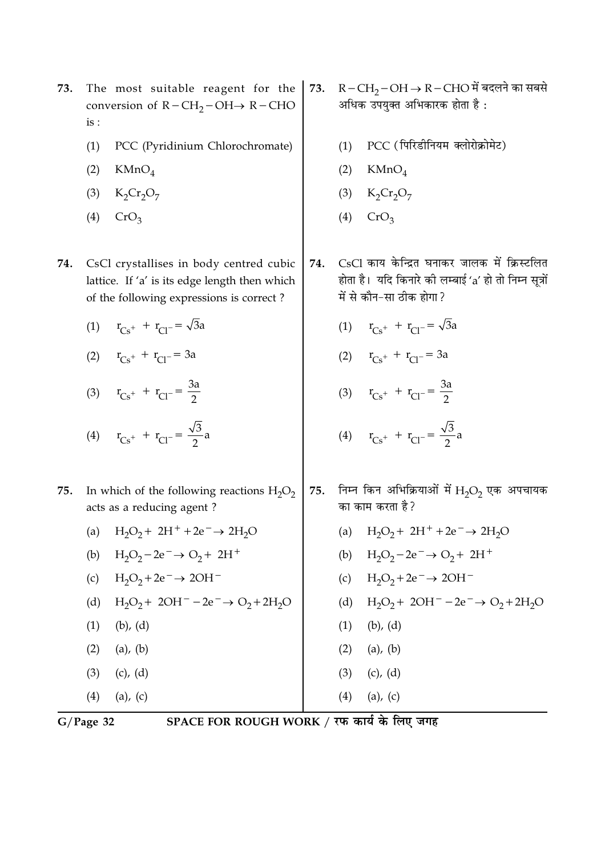- The most suitable reagent for the 73. conversion of  $R - CH_2 - OH \rightarrow R - CHO$  $is:$ 
	- $(1)$ PCC (Pyridinium Chlorochromate)
	- $(2)$  $KMnO<sub>4</sub>$
	- (3)  $K_2Cr_2O_7$
	- $(4)$  CrO<sub>2</sub>
- 74. CsCl crystallises in body centred cubic lattice. If 'a' is its edge length then which of the following expressions is correct?
	- (1)  $r_{Cs^+} + r_{Cl^-} = \sqrt{3}a$
	- (2)  $r_{Cs} + r_{Cl} = 3a$
	- (3)  $r_{Cs} + r_{Cl} = \frac{3a}{2}$
	- (4)  $r_{Cs^+} + r_{Cl^-} = \frac{\sqrt{3}}{2}a$
- 75. In which of the following reactions  $H_2O_2$ acts as a reducing agent?
	- (a)  $H_2O_2 + 2H^+ + 2e^- \rightarrow 2H_2O$ (b)  $H_2O_2 - 2e^- \rightarrow O_2 + 2H^+$ (c)  $H_2O_2 + 2e^- \rightarrow 2OH^-$ (d)  $H_2O_2 + 2OH^- - 2e^- \rightarrow O_2 + 2H_2O$  $(1)$  $(b)$ ,  $(d)$  $(1)$   $(b)$ ,  $(d)$  $(2)$  (a), (b)  $(2)$  (a), (b)  $(3)$   $(c), (d)$  $(3)$   $(c), (d)$  $(4)$  (a), (c)  $(4)$  (a), (c)
- $G/Page$  32

- $R-CH_2-OH \rightarrow R-CHO$ में बदलने का सबसे 73. अधिक उपयुक्त अभिकारक होता है:
	- PCC (पिरिडीनियम क्लोरोक्रोमेट)  $(1)$
	- $(2)$  KMnO<sub>4</sub>
	- (3)  $K_2Cr_2O_7$
	- $(4)$  CrO<sub>2</sub>
- CsCl काय केन्द्रित घनाकर जालक में क्रिस्टलित 74. होता है। यदि किनारे की लम्बाई 'a' हो तो निम्न सूत्रों में से कौन-सा ठीक होगा?
	- (1)  $r_{Cs^+} + r_{Cl^-} = \sqrt{3}a$
	- (2)  $r_{Cs} + r_{Cl} = 3a$
	- (3)  $r_{Cs} + r_{Cl} = \frac{3a}{2}$

(4) 
$$
r_{Cs^+} + r_{Cl^-} = \frac{\sqrt{3}}{2}a
$$

- निम्न किन अभिक्रियाओं में  $H_2O_2$  एक अपचायक 75. का काम करता है?
	- (a)  $H_2O_2 + 2H^+ + 2e^- \rightarrow 2H_2O$ (b)  $H_2O_2 - 2e^- \rightarrow O_2 + 2H^+$
	- (c)  $H_2O_2 + 2e^- \rightarrow 2OH^-$
	- (d)  $H_2O_2 + 2OH^- 2e^- \rightarrow O_2 + 2H_2O$
	-
-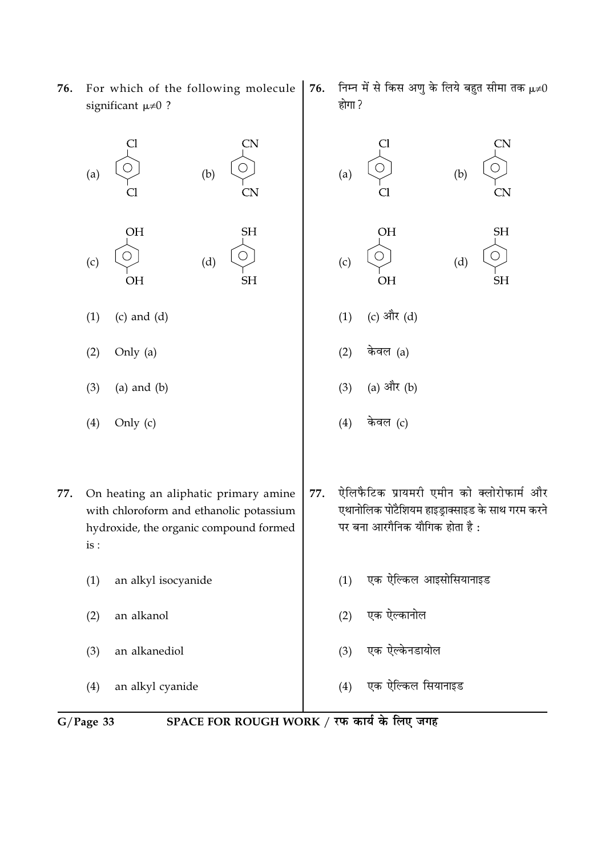- **CN** CN  $(b)$  $(a)$  $(b)$  $(a)$ CN. **OH SH** OH **SH** ○ ∩  $(c)$  $(d)$  $(d)$  $(c)$  $OH$  $SH$ **OH SH** (c) और (d)  $(1)$  $(c)$  and  $(d)$  $(1)$ Only  $(a)$ केवल (a)  $(2)$  $(2)$ (a) और (b)  $(3)$  $(a)$  and  $(b)$  $(3)$  $(4)$ Only (c)  $(4)$ केवल (c) ऐलिफैटिक प्रायमरी एमीन को क्लोरोफार्म और 77. 77. On heating an aliphatic primary amine एथानोलिक पोटैशियम हाइड़ाक्साइड के साथ गरम करने with chloroform and ethanolic potassium पर बना आरगैनिक यौगिक होता है: hydroxide, the organic compound formed  $is:$ एक ऐल्किल आइसोसियानाइड  $(1)$ an alkyl isocyanide  $(1)$ एक ऐल्कानोल an alkanol  $(2)$  $(2)$ an alkanediol एक ऐल्केनडायोल  $(3)$  $(3)$ एक ऐल्किल सियानाइड  $(4)$ an alkyl cyanide  $(4)$
- SPACE FOR ROUGH WORK / रफ कार्य के लिए जगह  $G/Page$  33
- 76. For which of the following molecule significant  $\mu \neq 0$  ?
- 76.
	- निम्न में से किस अणु के लिये बहुत सीमा तक  $\mu\neq 0$ होगा ?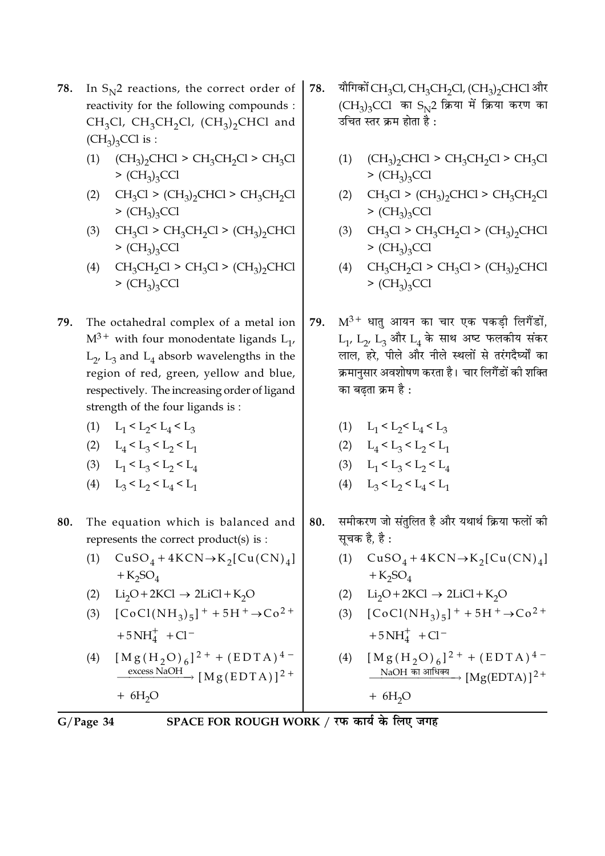- **78.** n  $\mathrm{S_{N}}$ 2 reactions, the correct order of reactivity for the following compounds :  $CH_3Cl$ ,  $CH_3CH_2Cl$ ,  $(CH_3)_2CHCl$  and  $(CH<sub>3</sub>)<sub>3</sub>CCl$  is :
	- (1)  $(CH_3)_2$ CHCl > CH<sub>3</sub>CH<sub>2</sub>Cl > CH<sub>3</sub>Cl  $>$  (CH<sub>3</sub>)<sub>3</sub>CCl
	- (2)  $CH_3Cl > (CH_3)_2CHCl > CH_3CH_2Cl$  $>(CH<sub>3</sub>)<sub>3</sub>CCl$
	- (3)  $CH_3Cl > CH_3CH_2Cl > (CH_3)_2CHCl$  $>(CH<sub>3</sub>)<sub>3</sub>CCl$
	- (4)  $CH_3CH_2Cl > CH_3Cl > (CH_3)_2CHCl$  $>(CH<sub>3</sub>)<sub>3</sub>CCl$
- **79.** The octahedral complex of a metal ion  $\mathrm{M}^{3+}$  with four monodentate ligands  $\mathrm{L}_1$ ,  $\text{L}_{2'}$ ,  $\text{L}_{3}$  and  $\text{L}_{4}$  absorb wavelengths in the region of red, green, yellow and blue, respectively. The increasing order of ligand strength of the four ligands is :
	- (1)  $L_1 < L_2 < L_4 < L_3$
	- (2)  $L_4 < L_3 < L_2 < L_1$
	- (3)  $L_1 < L_2 < L_2 < L_4$
	- (4)  $L_3 < L_2 < L_4 < L_1$
- 80. The equation which is balanced and represents the correct product(s) is :
	- (1)  $CuSO_4 + 4KCN \rightarrow K_2[Cu(CN)_4]$  $+K_2SO_4$
	- (2)  $Li_2O + 2KCl \rightarrow 2LiCl + K_2O$
	- (3)  $[CoCl(NH_3)_5]^{+} + 5H^{+} \rightarrow Co^{2+}$  $+5NH_4^+$  + Cl<sup>-</sup>
	- (4)  $[Mg(H_2O)_6]^{2+} + (EDTA)^{4-}$  $\frac{\text{excess NaOH}}{}$  [Mg(EDTA)]<sup>2+</sup>  $+ 6H<sub>2</sub>O$
- 7**8.** यौगिको CH<sub>3</sub>Cl, CH<sub>3</sub>CH<sub>2</sub>Cl, (CH<sub>3</sub>)<sub>2</sub>CHCl और  $(\mathrm{CH}_3)_3\mathrm{CCl}$  का  $\mathrm{S_N}$ 2 क्रिया में क्रिया करण क I उचित स्तर क्रम होता है <mark>:</mark>
	- (1)  $(CH_3)_2$ CHCl > CH<sub>3</sub>CH<sub>2</sub>Cl > CH<sub>3</sub>Cl  $>(CH<sub>3</sub>)<sub>3</sub>CCl$
	- (2)  $CH_3Cl > (CH_3)_2CHCl > CH_3CH_2Cl$  $>(CH<sub>3</sub>)<sub>3</sub>CCl$
	- (3)  $CH_3Cl > CH_3CH_2Cl > (CH_3)_2CHCl$  $>(CH<sub>3</sub>)<sub>3</sub>CCl$
	- (4)  $CH_3CH_2Cl > CH_3Cl > (CH_3)_2CHCl$  $>(CH<sub>3</sub>)<sub>3</sub>CCl$
- $79.$   $\,$   $\rm M^{3+}$  धातु आयन का चार एक पकड़ी लिगैंडों,  $\rm L_1$ ,  $\rm L_2$ ,  $\rm L_3$  और  $\rm L_4$  के साथ अष्ट फलकोय सकर लाल, हरे, पीले और नीले स्थलों से तरंगदैर्घ्यों का I क्रमानुसार अवशोषण करता है। चार लिगैडो को शक्ति का बढ़ता क्रम है <mark>:</mark>
	- (1)  $L_1 < L_2 < L_4 < L_3$
	- (2)  $L_4 < L_3 < L_2 < L_1$
	- (3)  $L_1 < L_2 < L_2 < L_4$
	- (4)  $L_3 < L_2 < L_4 < L_1$
- 80. समोकरण जो सतुलित है और यथार्थ क्रिया फलो <mark>क</mark>ा सूचक है, है <mark>:</mark>
	- (1)  $CuSO_4 + 4KCN \rightarrow K_2[Cu(CN)_4]$  $+K_2SO_4$
	- (2)  $Li_2O + 2KCl \rightarrow 2LiCl + K_2O$
	- (3)  $[CoCl(NH_3)_5]^{+} + 5H^{+} \rightarrow Co^{2+}$  $+5NH_4^+$  +Cl<sup>-</sup>

(4) 
$$
[M g (H_2 O)_6]^{2+} + (EDTA)^{4-}
$$
  
NaOH  $\overline{M}$  M8 (EDTA)<sup>2+</sup>

 $+ 6H<sub>2</sub>O$ 

G/Page 34 SP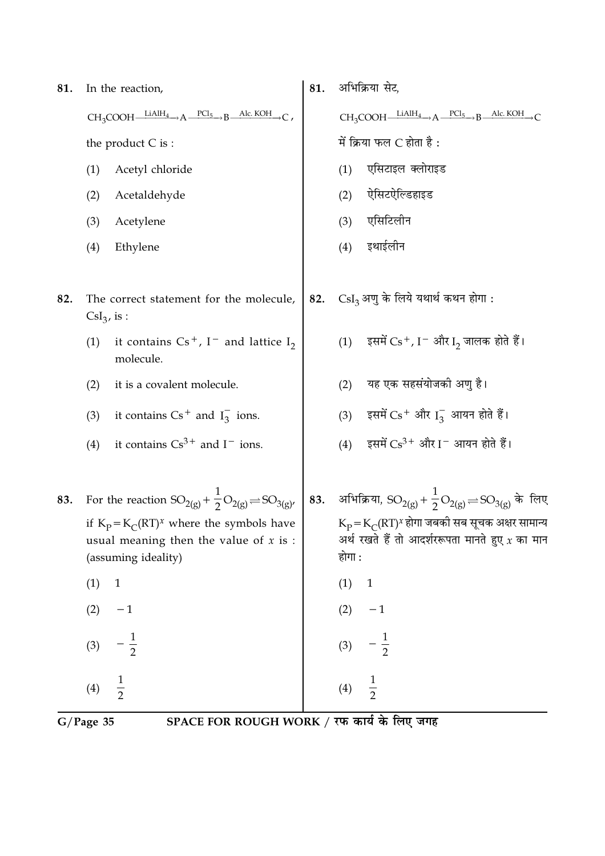| 81. | In the reaction,                                                                                                | 81. | अभिक्रिया सेट,                                                                                                                             |
|-----|-----------------------------------------------------------------------------------------------------------------|-----|--------------------------------------------------------------------------------------------------------------------------------------------|
|     | $CH_3COOH \xrightarrow{\qquad LiAlH_4 \qquad} A \xrightarrow{PCl_5 \qquad} B \xrightarrow{Alc. KOH}$            |     | $CH_3COOH \xrightarrow{LiAlH_4} A \xrightarrow{PCl_5} B \xrightarrow{Alc. KOH}$                                                            |
|     | the product $C$ is :                                                                                            |     | में क्रिया फल $C$ होता है:                                                                                                                 |
|     | (1)<br>Acetyl chloride                                                                                          |     | एसिटाइल क्लोराइड<br>(1)                                                                                                                    |
|     | Acetaldehyde<br>(2)                                                                                             |     | ऐसिटऐल्डिहाइड<br>(2)                                                                                                                       |
|     | (3)<br>Acetylene                                                                                                |     | एसिटिलीन<br>(3)                                                                                                                            |
|     | (4)<br>Ethylene                                                                                                 |     | इथाईलीन<br>(4)                                                                                                                             |
| 82. | The correct statement for the molecule,<br>$\text{CsI}_3$ , is :                                                | 82. | $\text{CsI}_3$ अणु के लिये यथार्थ कथन होगा:                                                                                                |
|     | it contains $Cs^+$ , I <sup>-</sup> and lattice I <sub>2</sub><br>(1)<br>molecule.                              |     | इसमें $\rm Cs^+$ , I $^-$ और I $_2$ जालक होते हैं।<br>(1)                                                                                  |
|     | it is a covalent molecule.<br>(2)                                                                               |     | यह एक सहसंयोजकी अणु है।<br>(2)                                                                                                             |
|     | (3)<br>it contains $Cs^+$ and $I_3^-$ ions.                                                                     |     | (3) इसमें $Cs$ <sup>+</sup> और $I_3^-$ आयन होते हैं।                                                                                       |
|     | it contains $Cs^{3+}$ and $I^-$ ions.<br>(4)                                                                    |     | इसमें $Cs^{3+}$ और I - आयन होते हैं।<br>(4)                                                                                                |
| 83. | For the reaction $SO_{2(g)} + \frac{1}{2}O_{2(g)} = SO_{3(g)}$                                                  |     | 83. अभिक्रिया, $SO_{2(g)} + \frac{1}{2}O_{2(g)} = SO_{3(g)}$ के लिए                                                                        |
|     | if $K_p = K_C (RT)^x$ where the symbols have<br>usual meaning then the value of $x$ is :<br>(assuming ideality) |     | $K_{\rm p}$ = $K_{\rm C}$ (RT) <sup>x</sup> होगा जबकी सब सूचक अक्षर सामान्य<br>अर्थ रखते हैं तो आदर्शररूपता मानते हुए $x$ का मान<br>होगा : |
|     | (1)<br>$\mathbf{1}$                                                                                             |     | (1)<br>$\mathbf{1}$                                                                                                                        |
|     | (2)<br>$-1$                                                                                                     |     | (2)<br>$-1$                                                                                                                                |
|     | $\frac{1}{2}$<br>(3)                                                                                            |     | $\frac{1}{2}$<br>(3)                                                                                                                       |
|     | $\frac{1}{2}$<br>(4)                                                                                            |     | $\frac{1}{2}$<br>(4)                                                                                                                       |

G/Page 35 SPACE FOR ROUGH WORK / रफ कार्य के लिए जगह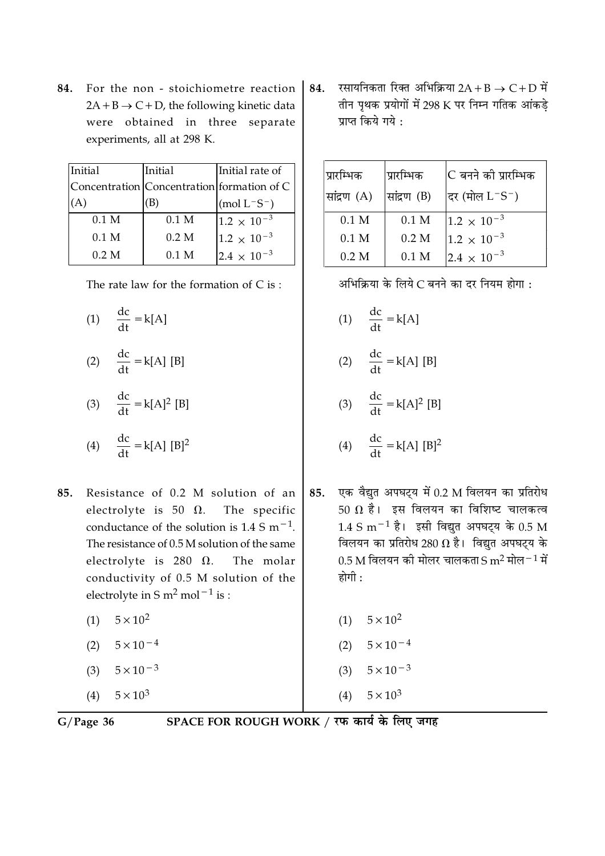84. For the non - stoichiometre reaction  $2A + B \rightarrow C + D$ , the following kinetic data were obtained in three separate experiments, all at 298 K.

| Initial |                  | Initial          | Initial rate of                            |
|---------|------------------|------------------|--------------------------------------------|
|         |                  |                  | Concentration Concentration formation of C |
|         |                  |                  | $(mod L^-S^-)$                             |
|         | 0.1 <sub>M</sub> | 0.1 <sub>M</sub> | $1.2 \times 10^{-3}$                       |
|         | 0.1 M            | 0.2 M            | $1.2 \times 10^{-3}$                       |
|         | 0.2 M            | $0.1\;M$         | $2.4 \times 10^{-3}$                       |
|         |                  |                  |                                            |

The rate law for the formation of  $C$  is:

(1)  $\frac{dc}{dt} = k[A]$ 

$$
(2) \quad \frac{\mathrm{d} \mathrm{c}}{\mathrm{d} \mathrm{t}} = \mathrm{k}[\mathrm{A}] \,\,[\mathrm{B}]
$$

$$
(3) \quad \frac{\text{dc}}{\text{dt}} = k[A]^2 \text{ [B]}
$$

$$
(4) \quad \frac{dc}{dt} = k[A] [B]^2
$$

- Resistance of 0.2 M solution of an 85. electrolyte is 50  $\Omega$ . The specific conductance of the solution is  $1.4 \text{ S m}^{-1}$ . The resistance of 0.5 M solution of the same electrolyte is 280  $\Omega$ . The molar conductivity of 0.5 M solution of the electrolyte in S  $m^2$  mol<sup>-1</sup> is :
	- $5 \times 10^2$  $(1)$
	- (2)  $5 \times 10^{-4}$
	- $5 \times 10^{-3}$  $(3)$
	- (4)  $5 \times 10^3$

रसायनिकता रिक्त अभिक्रिया 2A + B  $\rightarrow$  C + D में 84. तीन पृथक प्रयोगों में 298 K पर निम्न गतिक आंकड़े प्राप्त किये गये :

| प्रारम्भिक<br>सांद्रण (A) | प्रारम्भिक<br>सांद्रण (B) | lC बनने की प्रारम्भिक<br> दर (मोल $\rm L^-S^-$ ) |
|---------------------------|---------------------------|--------------------------------------------------|
| 0.1 <sub>M</sub>          | 0.1 <sub>M</sub>          | $1.2 \times 10^{-3}$                             |
| 0.1 M                     | 0.2 M                     | $1.2 \times 10^{-3}$                             |
| 0.2 M                     | $0.1$ M                   | $2.4 \times 10^{-3}$                             |

अभिक्रिया के लिये C बनने का दर नियम होगा:

- (1)  $\frac{dc}{dt} = k[A]$
- (2)  $\frac{dc}{dt} = k[A] [B]$
- (3)  $\frac{dc}{dt} = k[A]^2 [B]$

$$
(4) \quad \frac{dc}{dt} = k[A] [B]^2
$$

- एक वैद्युत अपघट्य में 0.2 M विलयन का प्रतिरोध 85. 50  $\Omega$  है। इस विलयन का विशिष्ट चालकत्व  $1.4 \text{ S m}^{-1}$  है। इसी विद्युत अपघट्य के 0.5 M विलयन का प्रतिरोध 280  $\Omega$  है। विद्युत अपघट्य के 0.5 M विलयन की मोलर चालकता S m<sup>2</sup> मोल $^{-1}$  में होगी :
	- (1)  $5 \times 10^2$ (2)  $5 \times 10^{-4}$ (3)  $5 \times 10^{-3}$

 $(4)$ 

 $5 \times 10^3$ 

 $G/Page$  36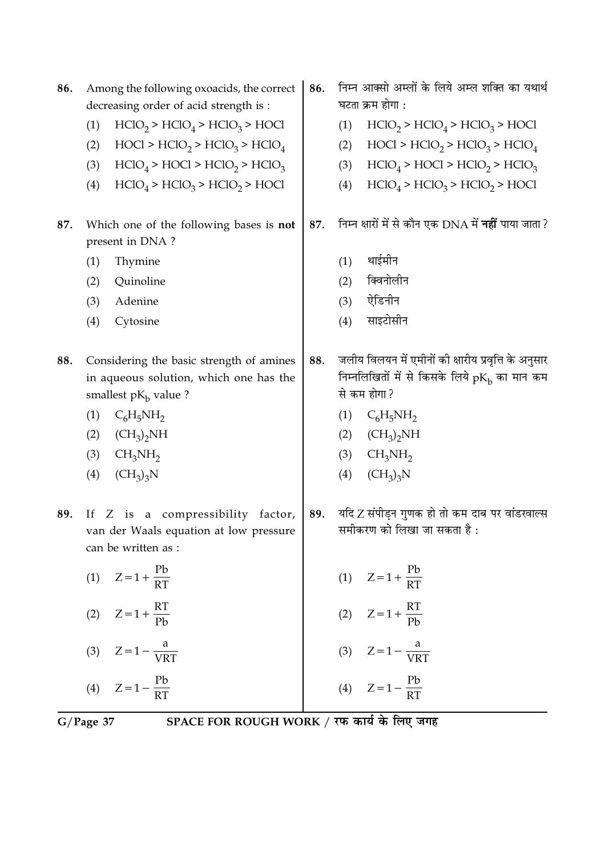| 86. |     | Among the following oxoacids, the correct<br>decreasing order of acid strength is :                           | 86. |     | निम्न आक्सो अम्लों के लिये अम्ल शक्ति का यथार्थ<br>घटता क्रम होगा :                                                          |
|-----|-----|---------------------------------------------------------------------------------------------------------------|-----|-----|------------------------------------------------------------------------------------------------------------------------------|
|     | (1) | $HClO2 > HClO4 > HClO3 > HOCl$                                                                                |     | (1) | $HClO2 > HClO4 > HClO3 > HOCl$                                                                                               |
|     | (2) | $HOC1 > HClO2 > HClO3 > HClO4$                                                                                |     | (2) | $HOC1 > HClO2 > HClO3 > HClO4$                                                                                               |
|     | (3) | $HClO4 > HClO 2 > HClO3$                                                                                      |     | (3) | $HClO4 > HClO 2 > HClO3$                                                                                                     |
|     | (4) | $HClO4 > HClO3 > HClO2 > HOCl$                                                                                |     | (4) | $HClO4 > HClO3 > HClO2 > HOCl$                                                                                               |
| 87. |     | Which one of the following bases is not<br>present in DNA?                                                    | 87. |     | निम्न क्षारों में से कौन एक DNA में <b>नहीं</b> पाया जाता ?                                                                  |
|     | (1) | Thymine                                                                                                       |     | (1) | थाईमीन                                                                                                                       |
|     | (2) | Quinoline                                                                                                     |     | (2) | क्विनोलीन                                                                                                                    |
|     | (3) | Adenine                                                                                                       |     | (3) | ऐडिनीन                                                                                                                       |
|     | (4) | Cytosine                                                                                                      |     | (4) | साइटोसीन                                                                                                                     |
| 88. |     | Considering the basic strength of amines<br>in aqueous solution, which one has the<br>smallest $pK_b$ value ? | 88. |     | जलीय विलयन में एमीनों की क्षारीय प्रवृत्ति के अनुसार<br>निम्नलिखितों में से किसके लिये $pK_{\rm b}$ का मान कम<br>से कम होगा? |
|     | (1) | $C_6H_5NH_2$                                                                                                  |     | (1) | $C_6H_5NH_2$                                                                                                                 |
|     | (2) | $(CH_3)_2NH$                                                                                                  |     | (2) | $(CH_3)_2NH$                                                                                                                 |
|     | (3) | CH <sub>3</sub> NH <sub>2</sub>                                                                               |     | (3) | CH <sub>3</sub> NH <sub>2</sub>                                                                                              |
|     | (4) | $(CH_3)_3N$                                                                                                   |     | (4) | $(CH_3)_3N$                                                                                                                  |
| 89. | If  | Z is a compressibility factor,<br>van der Waals equation at low pressure<br>can be written as :               | 89. |     | यदि Z संपीड़न गुणक हो तो कम दाब पर वांडरवाल्स<br>समीकरण को लिखा जा सकता है :                                                 |
|     |     | (1) $Z = 1 + \frac{Pb}{RT}$                                                                                   |     |     | (1) $Z = 1 + \frac{Pb}{RT}$                                                                                                  |
|     |     | (2) $Z = 1 + \frac{RT}{Ph}$                                                                                   |     |     | (2) $Z = 1 + \frac{RT}{Pb}$                                                                                                  |
|     |     | (3) $Z = 1 - \frac{a}{VRT}$                                                                                   |     |     | (3) $Z = 1 - \frac{a}{VRT}$                                                                                                  |
|     |     | (4) $Z = 1 - \frac{Pb}{RT}$                                                                                   |     |     | (4) $Z = 1 - \frac{Pb}{RT}$                                                                                                  |
|     |     | SPACE FOR ROUGH WORK / रफ कार्य के लिए जगह<br>$G/Page$ 37                                                     |     |     |                                                                                                                              |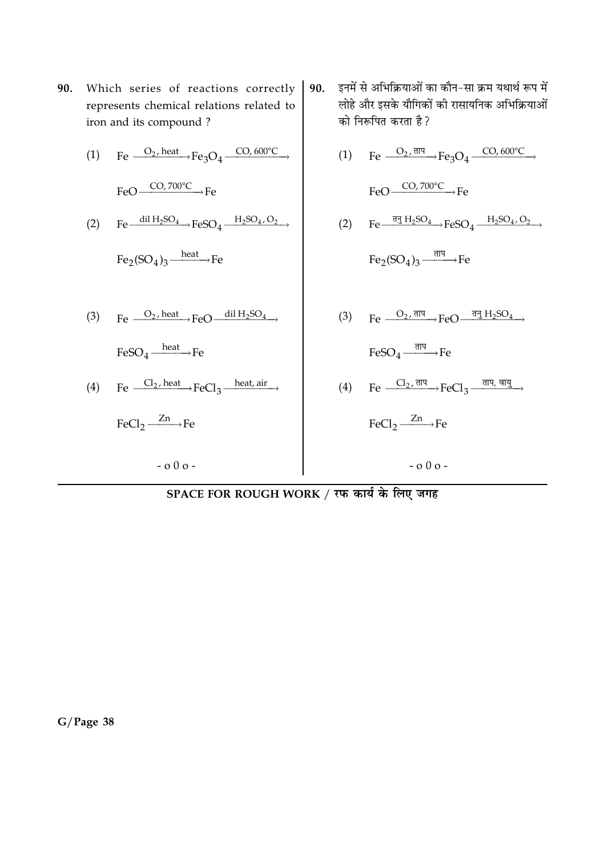90. Which series of reactions correctly represents chemical relations related to iron and its compound?

(1) Fe 
$$
\xrightarrow{O_2, heat} Fe_3O_4 \xrightarrow{CO, 600^\circ C}
$$
  
\nFeO  $\xrightarrow{CO, 700^\circ C}$  Fe  
\n(2) Fe  $\xrightarrow{dil H_2SO_4} FeSO_4 \xrightarrow{H_2SO_4,O_2}$   
\nFe<sub>2</sub>(SO<sub>4</sub>)<sub>3</sub>  $\xrightarrow{heat}$  Fe

(3) Fe  $\frac{O_2 \text{ heat}}{O_2 \text{ heat}}$  FeO  $\frac{\text{dil } H_2$ SO<sub>4</sub>

 $FeSO_4 \xrightarrow{heat} Fe$ 

(4) Fe  $\frac{Cl_2, heat}{I}$  FeCl<sub>3</sub>  $\frac{heat, air}{I}$ 

 $-000-$ 

$$
FeCl_2 \xrightarrow{Zn} Fe
$$

इनमें से अभिक्रियाओं का कौन-सा क्रम यथार्थ रूप में 90. लोहे और इसके यौगिकों की रासायनिक अभिक्रियाओं को निरूपित करता है ?

(1) Fe 
$$
\xrightarrow{O_2, \overline{\text{d}T}}
$$
 Fe<sub>3</sub>O<sub>4</sub>  $\xrightarrow{CO, 600^{\circ}C}$   
\nFeO  $\xrightarrow{CO, 700^{\circ}C}$  Fe  
\n(2) Fe  $\xrightarrow{\overline{\text{d}T}$  H<sub>2</sub>SO<sub>4</sub>  $\xrightarrow{\overline{\text{d}T}}$  FeSO<sub>4</sub>  $\xrightarrow{\overline{\text{d}T}}$  Fe  
\nFe<sub>2</sub>(SO<sub>4</sub>)<sub>3</sub>  $\xrightarrow{\overline{\text{d}T}}$  Fe  
\n(3) Fe  $\xrightarrow{O_2, \overline{\text{d}T}}$  FeO  $\xrightarrow{\overline{\text{d}T}}$  H<sub>2</sub>SO<sub>4</sub>  
\nFeSO<sub>4</sub>  $\xrightarrow{\overline{\text{d}T}}$  Fe  
\n(4) Fe  $\xrightarrow{Cl_2, \overline{\text{d}T}}$  FeCl<sub>3</sub>  $\xrightarrow{\overline{\text{d}T}}$   $\xrightarrow{\overline{\text{d}T}}$   
\nFeCl<sub>2</sub>  $\xrightarrow{Zn}$  Fe

 $-000-$ 

SPACE FOR ROUGH WORK / रफ कार्य के लिए जगह

 $G/Page$  38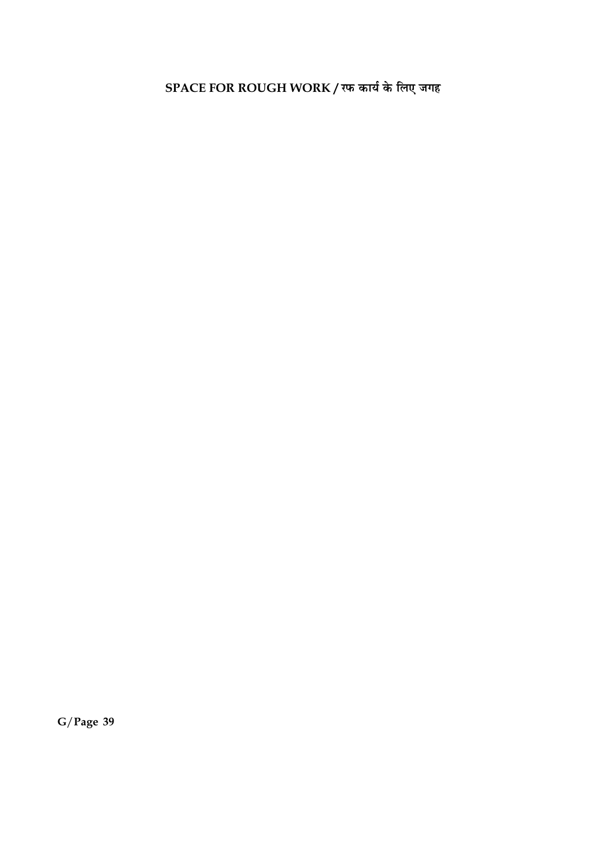SPACE FOR ROUGH WORK / रफ कार्य के लिए जगह

 $G/Page$  39